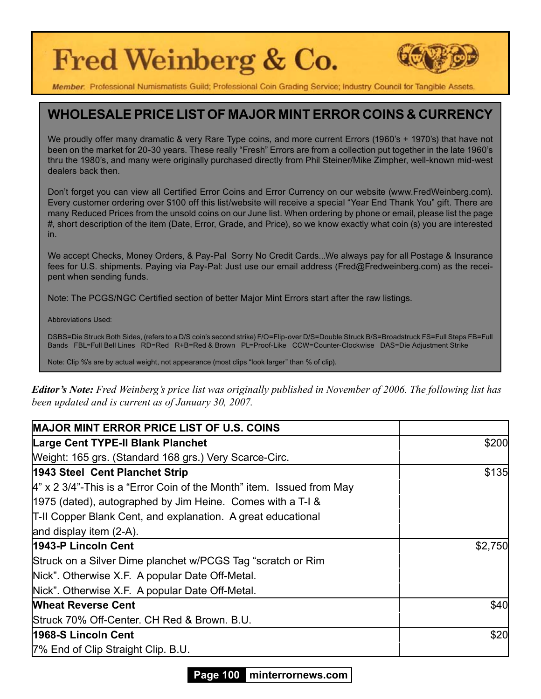# Fred Weinberg & Co.



Member: Professional Numismatists Guild; Professional Coin Grading Service; Industry Council for Tangible Assets

#### **WHOLESALE PRICE LIST OF MAJOR MINT ERROR COINS & CURRENCY**

We proudly offer many dramatic & very Rare Type coins, and more current Errors (1960's + 1970's) that have not been on the market for 20-30 years. These really "Fresh" Errors are from a collection put together in the late 1960's thru the 1980's, and many were originally purchased directly from Phil Steiner/Mike Zimpher, well-known mid-west dealers back then.

Don't forget you can view all Certified Error Coins and Error Currency on our website (www.FredWeinberg.com). Every customer ordering over \$100 off this list/website will receive a special "Year End Thank You" gift. There are many Reduced Prices from the unsold coins on our June list. When ordering by phone or email, please list the page #, short description of the item (Date, Error, Grade, and Price), so we know exactly what coin (s) you are interested in.

We accept Checks, Money Orders, & Pay-Pal Sorry No Credit Cards...We always pay for all Postage & Insurance fees for U.S. shipments. Paying via Pay-Pal: Just use our email address (Fred@Fredweinberg.com) as the receipent when sending funds.

Note: The PCGS/NGC Certified section of better Major Mint Errors start after the raw listings.

Abbreviations Used:

DSBS=Die Struck Both Sides, (refers to a D/S coin's second strike) F/O=Flip-over D/S=Double Struck B/S=Broadstruck FS=Full Steps FB=Full Bands FBL=Full Bell Lines RD=Red R+B=Red & Brown PL=Proof-Like CCW=Counter-Clockwise DAS=Die Adjustment Strike

Note: Clip %'s are by actual weight, not appearance (most clips "look larger" than % of clip).

*Editor's Note: Fred Weinberg's price list was originally published in November of 2006. The following list has been updated and is current as of January 30, 2007.*

| <b>MAJOR MINT ERROR PRICE LIST OF U.S. COINS</b>                        |         |
|-------------------------------------------------------------------------|---------|
| <b>Large Cent TYPE-II Blank Planchet</b>                                | \$200   |
| Weight: 165 grs. (Standard 168 grs.) Very Scarce-Circ.                  |         |
| 1943 Steel Cent Planchet Strip                                          | \$135   |
| $4"$ x 2 3/4"-This is a "Error Coin of the Month" item. Issued from May |         |
| 1975 (dated), autographed by Jim Heine. Comes with a T-I &              |         |
| T-II Copper Blank Cent, and explanation. A great educational            |         |
| and display item (2-A).                                                 |         |
| 1943-P Lincoln Cent                                                     | \$2,750 |
| Struck on a Silver Dime planchet w/PCGS Tag "scratch or Rim             |         |
| Nick". Otherwise X.F. A popular Date Off-Metal.                         |         |
| Nick". Otherwise X.F. A popular Date Off-Metal.                         |         |
| <b>Wheat Reverse Cent</b>                                               | \$40    |
| Struck 70% Off-Center. CH Red & Brown. B.U.                             |         |
| 1968-S Lincoln Cent                                                     | \$20    |
| 7% End of Clip Straight Clip. B.U.                                      |         |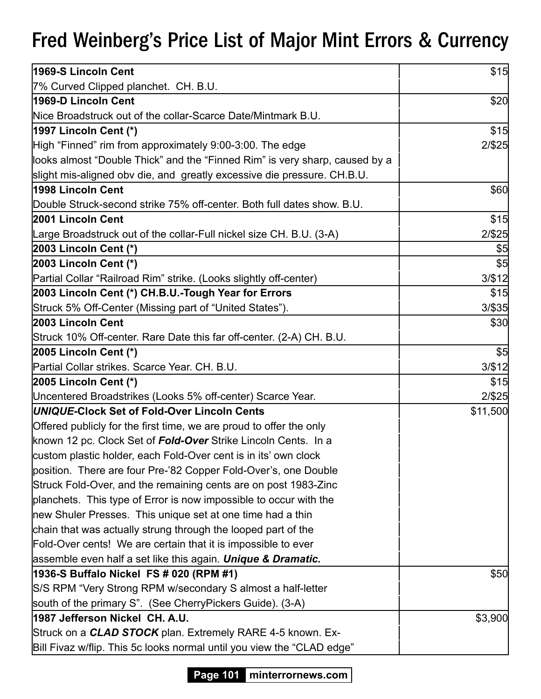| 1969-S Lincoln Cent                                                         | \$15      |
|-----------------------------------------------------------------------------|-----------|
| 7% Curved Clipped planchet. CH. B.U.                                        |           |
| 1969-D Lincoln Cent                                                         | \$20      |
| Nice Broadstruck out of the collar-Scarce Date/Mintmark B.U.                |           |
| 1997 Lincoln Cent (*)                                                       | \$15      |
| High "Finned" rim from approximately 9:00-3:00. The edge                    | $2/$ \$25 |
| looks almost "Double Thick" and the "Finned Rim" is very sharp, caused by a |           |
| slight mis-aligned obv die, and greatly excessive die pressure. CH.B.U.     |           |
| <b>1998 Lincoln Cent</b>                                                    | \$60      |
| Double Struck-second strike 75% off-center. Both full dates show. B.U.      |           |
| 2001 Lincoln Cent                                                           | \$15      |
| Large Broadstruck out of the collar-Full nickel size CH. B.U. (3-A)         | $2/$ \$25 |
| $ 2003$ Lincoln Cent $(*)$                                                  | \$5       |
| 2003 Lincoln Cent (*)                                                       | \$5       |
| Partial Collar "Railroad Rim" strike. (Looks slightly off-center)           | 3/ \$12   |
| 2003 Lincoln Cent (*) CH.B.U.-Tough Year for Errors                         | \$15      |
| Struck 5% Off-Center (Missing part of "United States").                     | $3/$ \$35 |
| 2003 Lincoln Cent                                                           | \$30      |
| Struck 10% Off-center. Rare Date this far off-center. (2-A) CH. B.U.        |           |
| 2005 Lincoln Cent (*)                                                       | \$5       |
| Partial Collar strikes. Scarce Year. CH. B.U.                               | 3/ \$12   |
| 2005 Lincoln Cent (*)                                                       | \$15      |
| Uncentered Broadstrikes (Looks 5% off-center) Scarce Year.                  | $2/$ \$25 |
| UNIQUE-Clock Set of Fold-Over Lincoln Cents                                 | \$11,500  |
| Offered publicly for the first time, we are proud to offer the only         |           |
| known 12 pc. Clock Set of Fold-Over Strike Lincoln Cents. In a              |           |
| custom plastic holder, each Fold-Over cent is in its' own clock             |           |
| position. There are four Pre-'82 Copper Fold-Over's, one Double             |           |
| Struck Fold-Over, and the remaining cents are on post 1983-Zinc             |           |
| planchets. This type of Error is now impossible to occur with the           |           |
| new Shuler Presses. This unique set at one time had a thin                  |           |
| chain that was actually strung through the looped part of the               |           |
| Fold-Over cents! We are certain that it is impossible to ever               |           |
| assemble even half a set like this again. Unique & Dramatic.                |           |
| 1936-S Buffalo Nickel FS # 020 (RPM #1)                                     | \$50      |
| S/S RPM "Very Strong RPM w/secondary S almost a half-letter                 |           |
| south of the primary S". (See CherryPickers Guide). (3-A)                   |           |
| 1987 Jefferson Nickel CH. A.U.                                              | \$3,900   |
| Struck on a <b>CLAD STOCK</b> plan. Extremely RARE 4-5 known. Ex-           |           |
| Bill Fivaz w/flip. This 5c looks normal until you view the "CLAD edge"      |           |

**Page 101 minterrornews.com**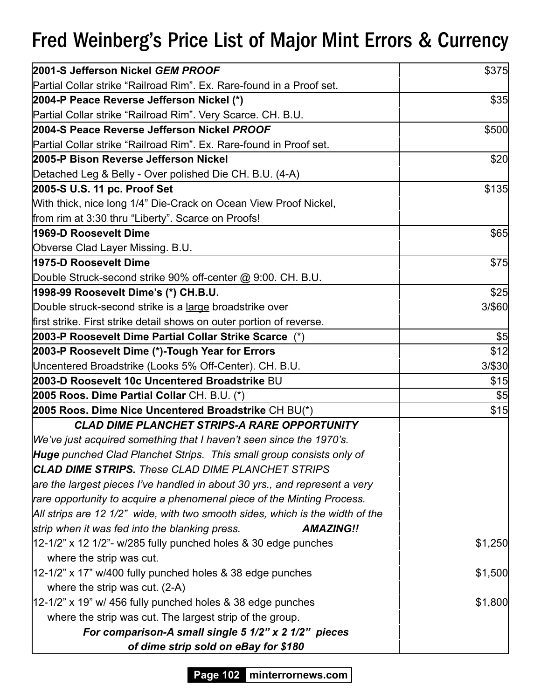| 2001-S Jefferson Nickel GEM PROOF                                             | \$375   |
|-------------------------------------------------------------------------------|---------|
| Partial Collar strike "Railroad Rim". Ex. Rare-found in a Proof set.          |         |
| 2004-P Peace Reverse Jefferson Nickel (*)                                     | \$35    |
| Partial Collar strike "Railroad Rim". Very Scarce. CH. B.U.                   |         |
| 2004-S Peace Reverse Jefferson Nickel PROOF                                   | \$500   |
| Partial Collar strike "Railroad Rim". Ex. Rare-found in Proof set.            |         |
| 2005-P Bison Reverse Jefferson Nickel                                         | \$20    |
| Detached Leg & Belly - Over polished Die CH. B.U. (4-A)                       |         |
| 2005-S U.S. 11 pc. Proof Set                                                  | \$135   |
| With thick, nice long 1/4" Die-Crack on Ocean View Proof Nickel,              |         |
| from rim at 3:30 thru "Liberty". Scarce on Proofs!                            |         |
| 1969-D Roosevelt Dime                                                         | \$65    |
| Obverse Clad Layer Missing. B.U.                                              |         |
| 1975-D Roosevelt Dime                                                         | \$75    |
| Double Struck-second strike 90% off-center @ 9:00. CH. B.U.                   |         |
| 1998-99 Roosevelt Dime's (*) CH.B.U.                                          | \$25    |
| Double struck-second strike is a <u>large</u> broadstrike over                | 3/\$60  |
| first strike. First strike detail shows on outer portion of reverse.          |         |
| 2003-P Roosevelt Dime Partial Collar Strike Scarce (*)                        | \$5     |
| 2003-P Roosevelt Dime (*)-Tough Year for Errors                               | \$12    |
| Uncentered Broadstrike (Looks 5% Off-Center). CH. B.U.                        | 3/\$30  |
| 2003-D Roosevelt 10c Uncentered Broadstrike BU                                | \$15    |
| 2005 Roos. Dime Partial Collar CH. B.U. (*)                                   | \$5     |
| 2005 Roos. Dime Nice Uncentered Broadstrike CH BU(*)                          | \$15    |
| <b>CLAD DIME PLANCHET STRIPS-A RARE OPPORTUNITY</b>                           |         |
| We've just acquired something that I haven't seen since the 1970's.           |         |
| <b>Huge</b> punched Clad Planchet Strips. This small group consists only of   |         |
| <b>CLAD DIME STRIPS.</b> These CLAD DIME PLANCHET STRIPS                      |         |
| are the largest pieces I've handled in about 30 yrs., and represent a very    |         |
| rare opportunity to acquire a phenomenal piece of the Minting Process.        |         |
| All strips are 12 1/2" wide, with two smooth sides, which is the width of the |         |
| strip when it was fed into the blanking press.<br><b>AMAZING!!</b>            |         |
| $12-1/2$ " x 12 1/2"- w/285 fully punched holes & 30 edge punches             | \$1,250 |
| where the strip was cut.                                                      |         |
| 12-1/2" x 17" w/400 fully punched holes & 38 edge punches                     | \$1,500 |
| where the strip was cut. $(2-A)$                                              |         |
| $12-1/2$ " x 19" w/ 456 fully punched holes & 38 edge punches                 | \$1,800 |
| where the strip was cut. The largest strip of the group.                      |         |
| For comparison-A small single 5 1/2" x 2 1/2" pieces                          |         |
| of dime strip sold on eBay for \$180                                          |         |

**Page 102 minterrornews.com**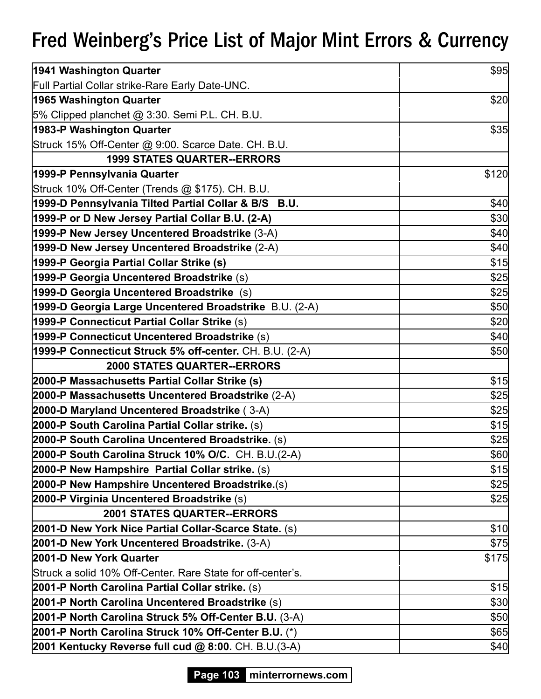| 1941 Washington Quarter                                     | \$95  |
|-------------------------------------------------------------|-------|
| Full Partial Collar strike-Rare Early Date-UNC.             |       |
| 1965 Washington Quarter                                     | \$20  |
| 5% Clipped planchet @ 3:30. Semi P.L. CH. B.U.              |       |
| 1983-P Washington Quarter                                   | \$35  |
| Struck 15% Off-Center @ 9:00. Scarce Date. CH. B.U.         |       |
| <b>1999 STATES QUARTER--ERRORS</b>                          |       |
| 1999-P Pennsylvania Quarter                                 | \$120 |
| Struck 10% Off-Center (Trends @ \$175). CH. B.U.            |       |
| 1999-D Pennsylvania Tilted Partial Collar & B/S B.U.        | \$40  |
| 1999-P or D New Jersey Partial Collar B.U. (2-A)            | \$30  |
| 1999-P New Jersey Uncentered Broadstrike (3-A)              | \$40  |
| 1999-D New Jersey Uncentered Broadstrike (2-A)              | \$40  |
| 1999-P Georgia Partial Collar Strike (s)                    | \$15  |
| 1999-P Georgia Uncentered Broadstrike (s)                   | \$25  |
| 1999-D Georgia Uncentered Broadstrike (s)                   | \$25  |
| 1999-D Georgia Large Uncentered Broadstrike B.U. (2-A)      | \$50  |
| 1999-P Connecticut Partial Collar Strike (s)                | \$20  |
| 1999-P Connecticut Uncentered Broadstrike (s)               | \$40  |
| 1999-P Connecticut Struck 5% off-center. CH. B.U. (2-A)     | \$50  |
| <b>2000 STATES QUARTER--ERRORS</b>                          |       |
| 2000-P Massachusetts Partial Collar Strike (s)              | \$15  |
| 2000-P Massachusetts Uncentered Broadstrike (2-A)           | \$25  |
| 2000-D Maryland Uncentered Broadstrike (3-A)                | \$25  |
| 2000-P South Carolina Partial Collar strike. (s)            | \$15  |
| 2000-P South Carolina Uncentered Broadstrike. (s)           | \$25  |
| 2000-P South Carolina Struck 10% O/C. CH. B.U.(2-A)         | \$60  |
| 2000-P New Hampshire Partial Collar strike. (s)             | \$15  |
| 2000-P New Hampshire Uncentered Broadstrike.(s)             | \$25  |
| 2000-P Virginia Uncentered Broadstrike (s)                  | \$25  |
| <b>2001 STATES QUARTER--ERRORS</b>                          |       |
| 2001-D New York Nice Partial Collar-Scarce State. (s)       | \$10  |
| 2001-D New York Uncentered Broadstrike. (3-A)               | \$75  |
| 2001-D New York Quarter                                     | \$175 |
| Struck a solid 10% Off-Center. Rare State for off-center's. |       |
| 2001-P North Carolina Partial Collar strike. (s)            | \$15  |
| 2001-P North Carolina Uncentered Broadstrike (s)            | \$30  |
| 2001-P North Carolina Struck 5% Off-Center B.U. (3-A)       | \$50  |
| 2001-P North Carolina Struck 10% Off-Center B.U. (*)        | \$65  |
| 2001 Kentucky Reverse full cud @ 8:00. CH. B.U.(3-A)        | \$40  |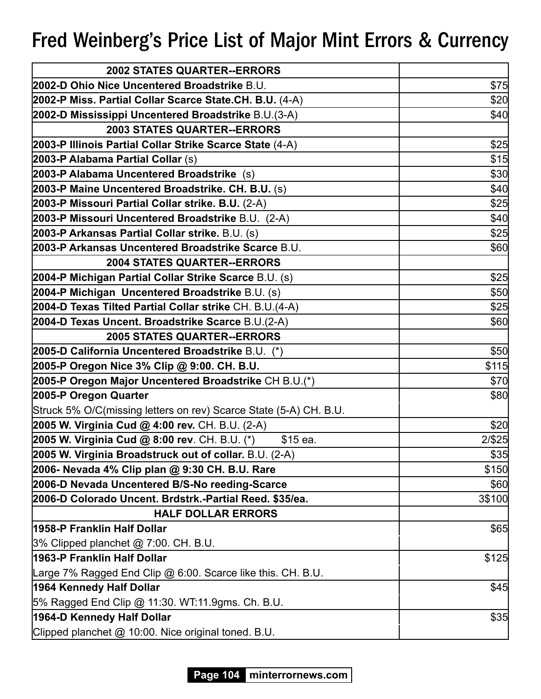| <b>2002 STATES QUARTER--ERRORS</b>                                |        |
|-------------------------------------------------------------------|--------|
| 2002-D Ohio Nice Uncentered Broadstrike B.U.                      | \$75   |
| 2002-P Miss. Partial Collar Scarce State.CH. B.U. (4-A)           | \$20   |
| 2002-D Mississippi Uncentered Broadstrike B.U.(3-A)               | \$40   |
| <b>2003 STATES QUARTER--ERRORS</b>                                |        |
| 2003-P Illinois Partial Collar Strike Scarce State (4-A)          | \$25   |
| 2003-P Alabama Partial Collar (s)                                 | \$15   |
| 2003-P Alabama Uncentered Broadstrike (s)                         | \$30   |
| 2003-P Maine Uncentered Broadstrike. CH. B.U. (s)                 | \$40   |
| 2003-P Missouri Partial Collar strike. B.U. (2-A)                 | \$25   |
| 2003-P Missouri Uncentered Broadstrike B.U. (2-A)                 | \$40   |
| 2003-P Arkansas Partial Collar strike. B.U. (s)                   | \$25   |
| 2003-P Arkansas Uncentered Broadstrike Scarce B.U.                | \$60   |
| <b>2004 STATES QUARTER--ERRORS</b>                                |        |
| 2004-P Michigan Partial Collar Strike Scarce B.U. (s)             | \$25   |
| 2004-P Michigan Uncentered Broadstrike B.U. (s)                   | \$50   |
| 2004-D Texas Tilted Partial Collar strike CH. B.U.(4-A)           | \$25   |
| 2004-D Texas Uncent. Broadstrike Scarce B.U.(2-A)                 | \$60   |
| <b>2005 STATES QUARTER--ERRORS</b>                                |        |
| 2005-D California Uncentered Broadstrike B.U. (*)                 | \$50   |
| 2005-P Oregon Nice 3% Clip @ 9:00. CH. B.U.                       | \$115  |
| 2005-P Oregon Major Uncentered Broadstrike CH B.U.(*)             | \$70   |
| 2005-P Oregon Quarter                                             | \$80   |
| Struck 5% O/C(missing letters on rev) Scarce State (5-A) CH. B.U. |        |
| 2005 W. Virginia Cud @ 4:00 rev. CH. B.U. (2-A)                   | \$20   |
| 2005 W. Virginia Cud @ 8:00 rev. CH. B.U. (*)<br>\$15 ea.         | 2/\$25 |
| 2005 W. Virginia Broadstruck out of collar. B.U. (2-A)            | \$35   |
| 2006- Nevada 4% Clip plan @ 9:30 CH. B.U. Rare                    | \$150  |
| 2006-D Nevada Uncentered B/S-No reeding-Scarce                    | \$60   |
| 2006-D Colorado Uncent. Brdstrk.-Partial Reed. \$35/ea.           | 3\$100 |
| <b>HALF DOLLAR ERRORS</b>                                         |        |
| 1958-P Franklin Half Dollar                                       | \$65   |
| $3\%$ Clipped planchet $@$ 7:00. CH. B.U.                         |        |
| 1963-P Franklin Half Dollar                                       | \$125  |
| Large 7% Ragged End Clip @ 6:00. Scarce like this. CH. B.U.       |        |
| 1964 Kennedy Half Dollar                                          | \$45   |
| 5% Ragged End Clip @ 11:30. WT:11.9gms. Ch. B.U.                  |        |
| 1964-D Kennedy Half Dollar                                        | \$35   |
| Clipped planchet @ 10:00. Nice original toned. B.U.               |        |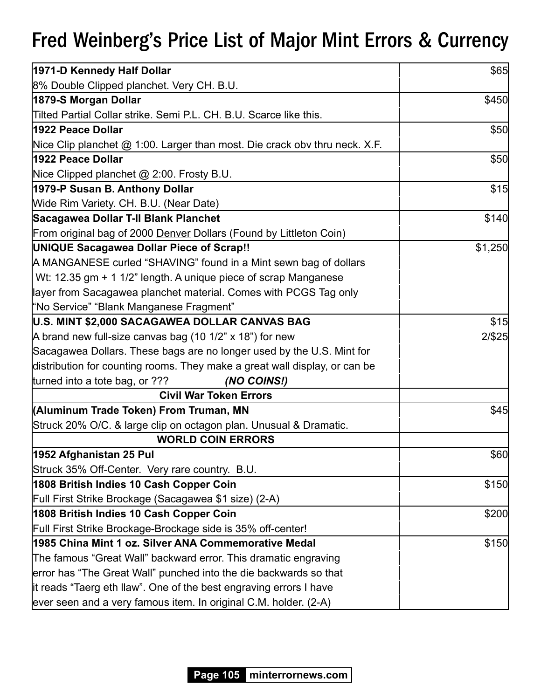| 1971-D Kennedy Half Dollar                                                 | \$65    |
|----------------------------------------------------------------------------|---------|
| 8% Double Clipped planchet. Very CH. B.U.                                  |         |
| 1879-S Morgan Dollar                                                       | \$450   |
| Tilted Partial Collar strike. Semi P.L. CH. B.U. Scarce like this.         |         |
| 1922 Peace Dollar                                                          | \$50    |
| Nice Clip planchet @ 1:00. Larger than most. Die crack obv thru neck. X.F. |         |
| 1922 Peace Dollar                                                          | \$50    |
| Nice Clipped planchet @ 2:00. Frosty B.U.                                  |         |
| 1979-P Susan B. Anthony Dollar                                             | \$15    |
| Wide Rim Variety. CH. B.U. (Near Date)                                     |         |
| Sacagawea Dollar T-II Blank Planchet                                       | \$140   |
| From original bag of 2000 Denver Dollars (Found by Littleton Coin)         |         |
| UNIQUE Sacagawea Dollar Piece of Scrap!!                                   | \$1,250 |
| A MANGANESE curled "SHAVING" found in a Mint sewn bag of dollars           |         |
| Wt: 12.35 gm + 1 1/2" length. A unique piece of scrap Manganese            |         |
| layer from Sacagawea planchet material. Comes with PCGS Tag only           |         |
| "No Service" "Blank Manganese Fragment"                                    |         |
| U.S. MINT \$2,000 SACAGAWEA DOLLAR CANVAS BAG                              | \$15    |
| A brand new full-size canvas bag (10 1/2" x 18") for new                   | 2/\$25  |
| Sacagawea Dollars. These bags are no longer used by the U.S. Mint for      |         |
| distribution for counting rooms. They make a great wall display, or can be |         |
| turned into a tote bag, or ???<br>(NO COINS!)                              |         |
| <b>Civil War Token Errors</b>                                              |         |
| (Aluminum Trade Token) From Truman, MN                                     | \$45    |
| Struck 20% O/C. & large clip on octagon plan. Unusual & Dramatic.          |         |
| <b>WORLD COIN ERRORS</b>                                                   |         |
| 1952 Afghanistan 25 Pul                                                    | \$60    |
| Struck 35% Off-Center. Very rare country. B.U.                             |         |
| 1808 British Indies 10 Cash Copper Coin                                    | \$150   |
| Full First Strike Brockage (Sacagawea \$1 size) (2-A)                      |         |
| 1808 British Indies 10 Cash Copper Coin                                    | \$200   |
| Full First Strike Brockage-Brockage side is 35% off-center!                |         |
| 1985 China Mint 1 oz. Silver ANA Commemorative Medal                       | \$150   |
| The famous "Great Wall" backward error. This dramatic engraving            |         |
| error has "The Great Wall" punched into the die backwards so that          |         |
| it reads "Taerg eth Ilaw". One of the best engraving errors I have         |         |
| ever seen and a very famous item. In original C.M. holder. (2-A)           |         |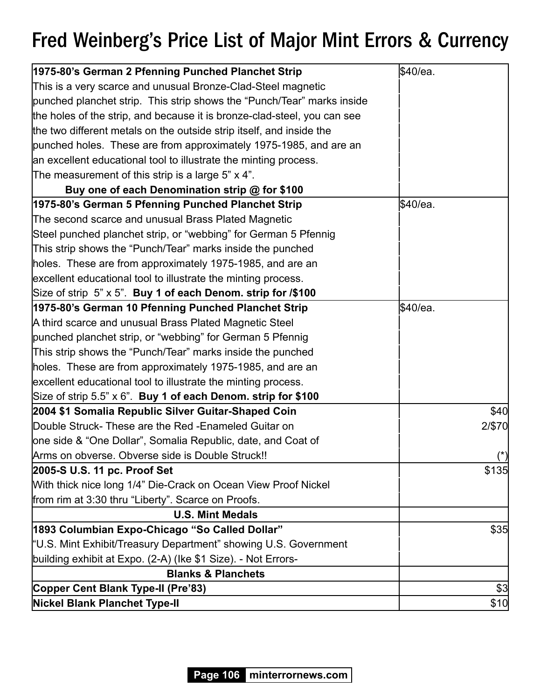| 1975-80's German 2 Pfenning Punched Planchet Strip                       | \$40/ea. |
|--------------------------------------------------------------------------|----------|
| This is a very scarce and unusual Bronze-Clad-Steel magnetic             |          |
| punched planchet strip. This strip shows the "Punch/Tear" marks inside   |          |
| the holes of the strip, and because it is bronze-clad-steel, you can see |          |
| the two different metals on the outside strip itself, and inside the     |          |
| punched holes. These are from approximately 1975-1985, and are an        |          |
| an excellent educational tool to illustrate the minting process.         |          |
| The measurement of this strip is a large 5" $\times$ 4".                 |          |
| Buy one of each Denomination strip @ for \$100                           |          |
| 1975-80's German 5 Pfenning Punched Planchet Strip                       | \$40/ea. |
| The second scarce and unusual Brass Plated Magnetic                      |          |
| Steel punched planchet strip, or "webbing" for German 5 Pfennig          |          |
| This strip shows the "Punch/Tear" marks inside the punched               |          |
| holes. These are from approximately 1975-1985, and are an                |          |
| excellent educational tool to illustrate the minting process.            |          |
| Size of strip 5" x 5". Buy 1 of each Denom. strip for /\$100             |          |
| 1975-80's German 10 Pfenning Punched Planchet Strip                      | \$40/ea. |
| A third scarce and unusual Brass Plated Magnetic Steel                   |          |
| punched planchet strip, or "webbing" for German 5 Pfennig                |          |
| This strip shows the "Punch/Tear" marks inside the punched               |          |
| holes. These are from approximately 1975-1985, and are an                |          |
| excellent educational tool to illustrate the minting process.            |          |
| Size of strip 5.5" x 6". Buy 1 of each Denom. strip for \$100            |          |
| 2004 \$1 Somalia Republic Silver Guitar-Shaped Coin                      | \$40     |
| Double Struck- These are the Red - Enameled Guitar on                    | 2/\$70   |
| one side & "One Dollar", Somalia Republic, date, and Coat of             |          |
| Arms on obverse. Obverse side is Double Struck!!                         | $(*)$    |
| 2005-S U.S. 11 pc. Proof Set                                             | \$135    |
| With thick nice long 1/4" Die-Crack on Ocean View Proof Nickel           |          |
| from rim at 3:30 thru "Liberty". Scarce on Proofs.                       |          |
| <b>U.S. Mint Medals</b>                                                  |          |
| 1893 Columbian Expo-Chicago "So Called Dollar"                           | \$35     |
| "U.S. Mint Exhibit/Treasury Department" showing U.S. Government          |          |
| building exhibit at Expo. (2-A) (Ike \$1 Size). - Not Errors-            |          |
| <b>Blanks &amp; Planchets</b>                                            |          |
| Copper Cent Blank Type-II (Pre'83)                                       | \$3      |
| <b>Nickel Blank Planchet Type-II</b>                                     | \$10     |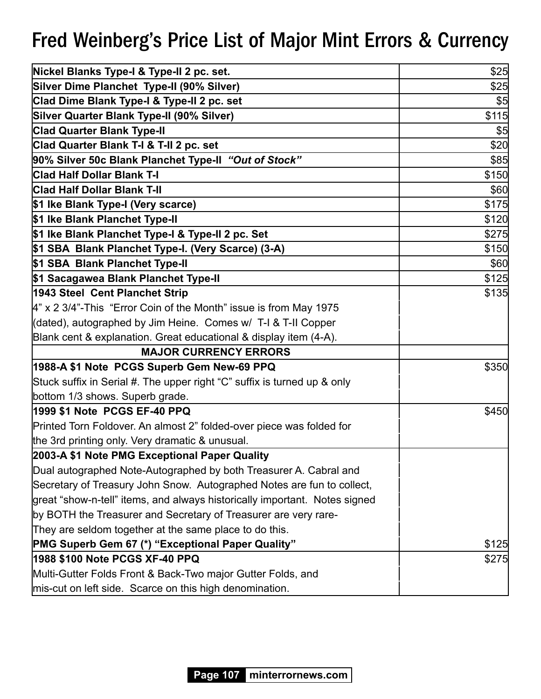| Nickel Blanks Type-I & Type-II 2 pc. set.                                  | \$25  |
|----------------------------------------------------------------------------|-------|
| Silver Dime Planchet Type-II (90% Silver)                                  | \$25  |
| Clad Dime Blank Type-I & Type-II 2 pc. set                                 | \$5   |
| Silver Quarter Blank Type-II (90% Silver)                                  | \$115 |
| <b>Clad Quarter Blank Type-II</b>                                          | \$5   |
| Clad Quarter Blank T-I & T-II 2 pc. set                                    | \$20  |
| 90% Silver 50c Blank Planchet Type-II "Out of Stock"                       | \$85  |
| <b>Clad Half Dollar Blank T-I</b>                                          | \$150 |
| <b>Clad Half Dollar Blank T-II</b>                                         | \$60  |
| \$1 Ike Blank Type-I (Very scarce)                                         | \$175 |
| \$1 Ike Blank Planchet Type-II                                             | \$120 |
| \$1 Ike Blank Planchet Type-I & Type-II 2 pc. Set                          | \$275 |
| \$1 SBA Blank Planchet Type-I. (Very Scarce) (3-A)                         | \$150 |
| \$1 SBA Blank Planchet Type-II                                             | \$60  |
| \$1 Sacagawea Blank Planchet Type-II                                       | \$125 |
| 1943 Steel Cent Planchet Strip                                             | \$135 |
| $4"$ x 2 3/4"-This "Error Coin of the Month" issue is from May 1975        |       |
| (dated), autographed by Jim Heine. Comes w/ T-I & T-II Copper              |       |
| Blank cent & explanation. Great educational & display item (4-A).          |       |
| <b>MAJOR CURRENCY ERRORS</b>                                               |       |
| 1988-A \$1 Note PCGS Superb Gem New-69 PPQ                                 | \$350 |
| Stuck suffix in Serial #. The upper right "C" suffix is turned up & only   |       |
| bottom 1/3 shows. Superb grade.                                            |       |
| 1999 \$1 Note PCGS EF-40 PPQ                                               | \$450 |
| Printed Torn Foldover. An almost 2" folded-over piece was folded for       |       |
| the 3rd printing only. Very dramatic & unusual.                            |       |
| 2003-A \$1 Note PMG Exceptional Paper Quality                              |       |
| Dual autographed Note-Autographed by both Treasurer A. Cabral and          |       |
| Secretary of Treasury John Snow. Autographed Notes are fun to collect,     |       |
| great "show-n-tell" items, and always historically important. Notes signed |       |
| by BOTH the Treasurer and Secretary of Treasurer are very rare-            |       |
| They are seldom together at the same place to do this.                     |       |
| <b>PMG Superb Gem 67 (*) "Exceptional Paper Quality"</b>                   | \$125 |
| 1988 \$100 Note PCGS XF-40 PPQ                                             | \$275 |
| Multi-Gutter Folds Front & Back-Two major Gutter Folds, and                |       |
| mis-cut on left side. Scarce on this high denomination.                    |       |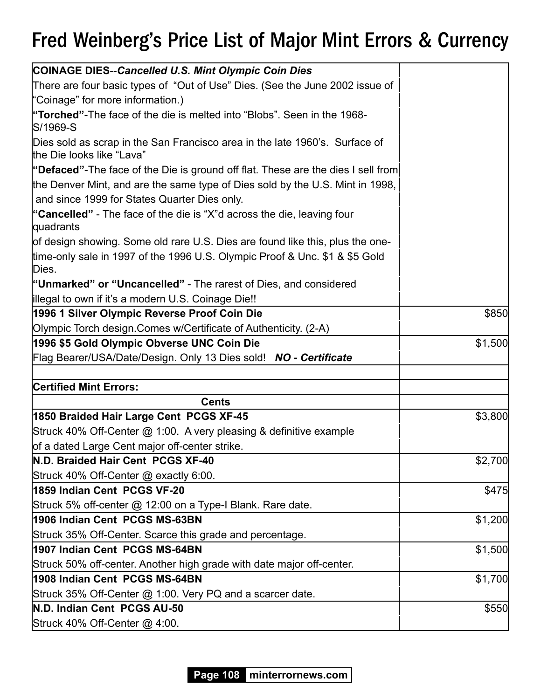| <b>COINAGE DIES--Cancelled U.S. Mint Olympic Coin Dies</b>                                               |         |
|----------------------------------------------------------------------------------------------------------|---------|
| There are four basic types of "Out of Use" Dies. (See the June 2002 issue of                             |         |
| "Coinage" for more information.)                                                                         |         |
| "Torched"-The face of the die is melted into "Blobs". Seen in the 1968-<br>S/1969-S                      |         |
| Dies sold as scrap in the San Francisco area in the late 1960's. Surface of<br>the Die looks like "Lava" |         |
| "Defaced"-The face of the Die is ground off flat. These are the dies I sell from                         |         |
| the Denver Mint, and are the same type of Dies sold by the U.S. Mint in 1998,                            |         |
| and since 1999 for States Quarter Dies only.                                                             |         |
| "Cancelled" - The face of the die is "X"d across the die, leaving four<br>quadrants                      |         |
| of design showing. Some old rare U.S. Dies are found like this, plus the one-                            |         |
| time-only sale in 1997 of the 1996 U.S. Olympic Proof & Unc. \$1 & \$5 Gold<br>Dies.                     |         |
| "Unmarked" or "Uncancelled" - The rarest of Dies, and considered                                         |         |
| illegal to own if it's a modern U.S. Coinage Die!!                                                       |         |
| 1996 1 Silver Olympic Reverse Proof Coin Die                                                             | \$850   |
| Olympic Torch design Comes w/Certificate of Authenticity. (2-A)                                          |         |
| 1996 \$5 Gold Olympic Obverse UNC Coin Die                                                               | \$1,500 |
| Flag Bearer/USA/Date/Design. Only 13 Dies sold! NO - Certificate                                         |         |
|                                                                                                          |         |
| <b>Certified Mint Errors:</b>                                                                            |         |
| <b>Cents</b>                                                                                             |         |
| 1850 Braided Hair Large Cent PCGS XF-45                                                                  | \$3,800 |
| Struck 40% Off-Center @ 1:00. A very pleasing & definitive example                                       |         |
| of a dated Large Cent major off-center strike.                                                           |         |
| N.D. Braided Hair Cent PCGS XF-40                                                                        | \$2,700 |
| Struck 40% Off-Center @ exactly 6:00.                                                                    |         |
| 1859 Indian Cent PCGS VF-20                                                                              | \$475   |
| Struck 5% off-center @ 12:00 on a Type-I Blank. Rare date.                                               |         |
| 1906 Indian Cent PCGS MS-63BN                                                                            | \$1,200 |
| Struck 35% Off-Center. Scarce this grade and percentage.                                                 |         |
| 1907 Indian Cent PCGS MS-64BN                                                                            | \$1,500 |
| Struck 50% off-center. Another high grade with date major off-center.                                    |         |
| 1908 Indian Cent PCGS MS-64BN                                                                            | \$1,700 |
| Struck 35% Off-Center @ 1:00. Very PQ and a scarcer date.                                                |         |
| N.D. Indian Cent PCGS AU-50                                                                              | \$550   |
| Struck 40% Off-Center @ 4:00.                                                                            |         |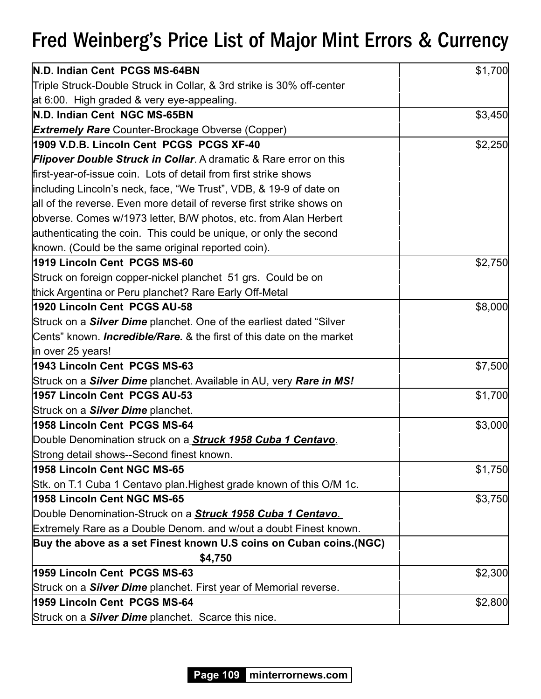| N.D. Indian Cent PCGS MS-64BN                                                     | \$1,700 |
|-----------------------------------------------------------------------------------|---------|
| Triple Struck-Double Struck in Collar, & 3rd strike is 30% off-center             |         |
| at 6:00. High graded & very eye-appealing.                                        |         |
| N.D. Indian Cent NGC MS-65BN                                                      | \$3,450 |
| <b>Extremely Rare</b> Counter-Brockage Obverse (Copper)                           |         |
| 1909 V.D.B. Lincoln Cent PCGS PCGS XF-40                                          | \$2,250 |
| <b>Flipover Double Struck in Collar.</b> A dramatic & Rare error on this          |         |
| first-year-of-issue coin. Lots of detail from first strike shows                  |         |
| including Lincoln's neck, face, "We Trust", VDB, & 19-9 of date on                |         |
| all of the reverse. Even more detail of reverse first strike shows on             |         |
| obverse. Comes w/1973 letter, B/W photos, etc. from Alan Herbert                  |         |
| authenticating the coin. This could be unique, or only the second                 |         |
| known. (Could be the same original reported coin).                                |         |
| 1919 Lincoln Cent PCGS MS-60                                                      | \$2,750 |
| Struck on foreign copper-nickel planchet 51 grs. Could be on                      |         |
| thick Argentina or Peru planchet? Rare Early Off-Metal                            |         |
| 1920 Lincoln Cent PCGS AU-58                                                      | \$8,000 |
| Struck on a <b>Silver Dime</b> planchet. One of the earliest dated "Silver        |         |
| Cents" known. <i>Incredible/Rare.</i> & the first of this date on the market      |         |
| in over 25 years!                                                                 |         |
| 1943 Lincoln Cent PCGS MS-63                                                      | \$7,500 |
| Struck on a <b>Silver Dime</b> planchet. Available in AU, very <b>Rare in MS!</b> |         |
| 1957 Lincoln Cent PCGS AU-53                                                      | \$1,700 |
| Struck on a <b>Silver Dime</b> planchet.                                          |         |
| 1958 Lincoln Cent PCGS MS-64                                                      | \$3,000 |
| Double Denomination struck on a <b>Struck 1958 Cuba 1 Centavo</b> .               |         |
| Strong detail shows--Second finest known.                                         |         |
| 1958 Lincoln Cent NGC MS-65                                                       | \$1,750 |
| Stk. on T.1 Cuba 1 Centavo plan. Highest grade known of this O/M 1c.              |         |
| 1958 Lincoln Cent NGC MS-65                                                       | \$3,750 |
| Double Denomination-Struck on a <b>Struck 1958 Cuba 1 Centavo</b> .               |         |
| Extremely Rare as a Double Denom. and w/out a doubt Finest known.                 |         |
| Buy the above as a set Finest known U.S coins on Cuban coins. (NGC)               |         |
| \$4,750                                                                           |         |
| 1959 Lincoln Cent PCGS MS-63                                                      | \$2,300 |
| Struck on a <b>Silver Dime</b> planchet. First year of Memorial reverse.          |         |
| 1959 Lincoln Cent PCGS MS-64                                                      | \$2,800 |
| Struck on a <b>Silver Dime</b> planchet. Scarce this nice.                        |         |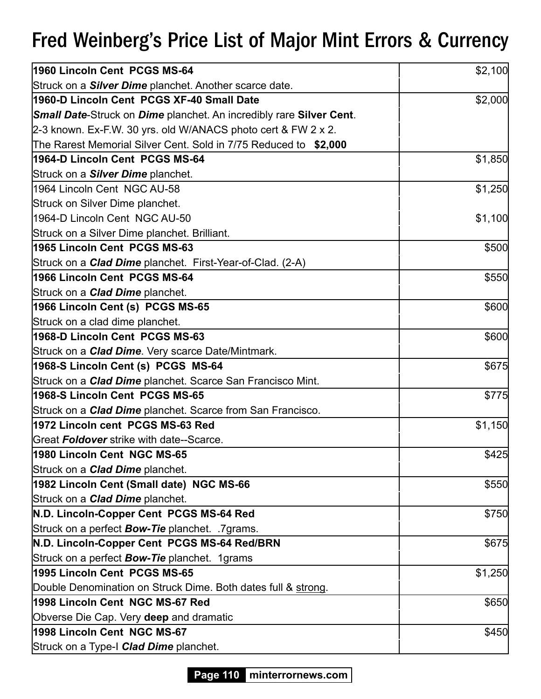| 1960 Lincoln Cent PCGS MS-64                                               | \$2,100 |
|----------------------------------------------------------------------------|---------|
| Struck on a <b>Silver Dime</b> planchet. Another scarce date.              |         |
| 1960-D Lincoln Cent PCGS XF-40 Small Date                                  | \$2,000 |
| <b>Small Date-Struck on Dime planchet. An incredibly rare Silver Cent.</b> |         |
| 2-3 known. Ex-F.W. 30 yrs. old W/ANACS photo cert & FW 2 x 2.              |         |
| The Rarest Memorial Silver Cent. Sold in 7/75 Reduced to \$2,000           |         |
| 1964-D Lincoln Cent PCGS MS-64                                             | \$1,850 |
| Struck on a <b>Silver Dime</b> planchet.                                   |         |
| l1964 Lincoln Cent NGC AU-58                                               | \$1,250 |
| Struck on Silver Dime planchet.                                            |         |
| 1964-D Lincoln Cent NGC AU-50                                              | \$1,100 |
| Struck on a Silver Dime planchet. Brilliant.                               |         |
| 1965 Lincoln Cent PCGS MS-63                                               | \$500   |
| Struck on a <b>Clad Dime</b> planchet. First-Year-of-Clad. (2-A)           |         |
| 1966 Lincoln Cent PCGS MS-64                                               | \$550   |
| Struck on a <b>Clad Dime</b> planchet.                                     |         |
| 1966 Lincoln Cent (s) PCGS MS-65                                           | \$600   |
| Struck on a clad dime planchet.                                            |         |
| 1968-D Lincoln Cent PCGS MS-63                                             | \$600   |
| Struck on a <b>Clad Dime</b> . Very scarce Date/Mintmark.                  |         |
| 1968-S Lincoln Cent (s) PCGS MS-64                                         | \$675   |
| Struck on a <i>Clad Dime</i> planchet. Scarce San Francisco Mint.          |         |
| 1968-S Lincoln Cent PCGS MS-65                                             | \$775   |
| Struck on a <b>Clad Dime</b> planchet. Scarce from San Francisco.          |         |
| 1972 Lincoln cent PCGS MS-63 Red                                           | \$1,150 |
| Great Foldover strike with date--Scarce.                                   |         |
| 1980 Lincoln Cent NGC MS-65                                                | \$425   |
| Struck on a <b>Clad Dime</b> planchet.                                     |         |
| 1982 Lincoln Cent (Small date) NGC MS-66                                   | \$550   |
| Struck on a <b>Clad Dime</b> planchet.                                     |         |
| N.D. Lincoln-Copper Cent PCGS MS-64 Red                                    | \$750   |
| Struck on a perfect <b>Bow-Tie</b> planchet. 7grams.                       |         |
| N.D. Lincoln-Copper Cent PCGS MS-64 Red/BRN                                | \$675   |
| Struck on a perfect <b>Bow-Tie</b> planchet. 1grams                        |         |
| 1995 Lincoln Cent PCGS MS-65                                               | \$1,250 |
| Double Denomination on Struck Dime. Both dates full & strong.              |         |
| 1998 Lincoln Cent NGC MS-67 Red                                            | \$650   |
| Obverse Die Cap. Very deep and dramatic                                    |         |
| 1998 Lincoln Cent NGC MS-67                                                | \$450   |
| Struck on a Type-I <b>Clad Dime</b> planchet.                              |         |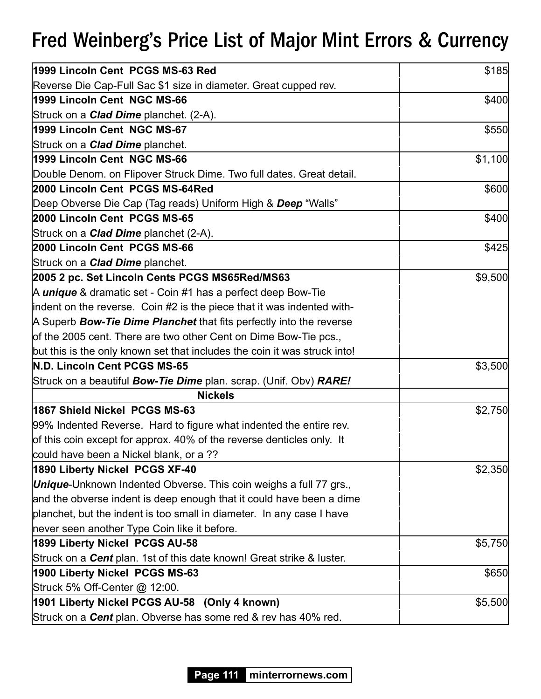| 1999 Lincoln Cent PCGS MS-63 Red                                                | \$185   |
|---------------------------------------------------------------------------------|---------|
| Reverse Die Cap-Full Sac \$1 size in diameter. Great cupped rev.                |         |
| 1999 Lincoln Cent NGC MS-66                                                     | \$400   |
| Struck on a <b>Clad Dime</b> planchet. (2-A).                                   |         |
| 1999 Lincoln Cent NGC MS-67                                                     | \$550   |
| Struck on a <b>Clad Dime</b> planchet.                                          |         |
| 1999 Lincoln Cent NGC MS-66                                                     | \$1,100 |
| Double Denom. on Flipover Struck Dime. Two full dates. Great detail.            |         |
| 2000 Lincoln Cent PCGS MS-64Red                                                 | \$600   |
| Deep Obverse Die Cap (Tag reads) Uniform High & Deep "Walls"                    |         |
| 2000 Lincoln Cent PCGS MS-65                                                    | \$400   |
| Struck on a <b>Clad Dime</b> planchet (2-A).                                    |         |
| 2000 Lincoln Cent PCGS MS-66                                                    | \$425   |
| Struck on a <b>Clad Dime</b> planchet.                                          |         |
| 2005 2 pc. Set Lincoln Cents PCGS MS65Red/MS63                                  | \$9,500 |
| A <i>unique</i> & dramatic set - Coin #1 has a perfect deep Bow-Tie             |         |
| indent on the reverse. Coin #2 is the piece that it was indented with-          |         |
| A Superb Bow-Tie Dime Planchet that fits perfectly into the reverse             |         |
| of the 2005 cent. There are two other Cent on Dime Bow-Tie pcs.,                |         |
| but this is the only known set that includes the coin it was struck into!       |         |
| N.D. Lincoln Cent PCGS MS-65                                                    | \$3,500 |
| Struck on a beautiful <b>Bow-Tie Dime</b> plan. scrap. (Unif. Obv) <b>RARE!</b> |         |
| <b>Nickels</b>                                                                  |         |
| 1867 Shield Nickel PCGS MS-63                                                   | \$2,750 |
| 99% Indented Reverse. Hard to figure what indented the entire rev.              |         |
| of this coin except for approx. 40% of the reverse denticles only. It           |         |
| could have been a Nickel blank, or a ??                                         |         |
| 1890 Liberty Nickel PCGS XF-40                                                  | \$2,350 |
| <b>Unique-</b> Unknown Indented Obverse. This coin weighs a full 77 grs.,       |         |
| and the obverse indent is deep enough that it could have been a dime            |         |
| planchet, but the indent is too small in diameter. In any case I have           |         |
| never seen another Type Coin like it before.                                    |         |
| 1899 Liberty Nickel PCGS AU-58                                                  | \$5,750 |
| Struck on a Cent plan. 1st of this date known! Great strike & luster.           |         |
| 1900 Liberty Nickel PCGS MS-63                                                  | \$650   |
| Struck 5% Off-Center @ 12:00.                                                   |         |
| 1901 Liberty Nickel PCGS AU-58 (Only 4 known)                                   | \$5,500 |
| Struck on a <b>Cent</b> plan. Obverse has some red & rev has 40% red.           |         |

**Page 111 minterrornews.com**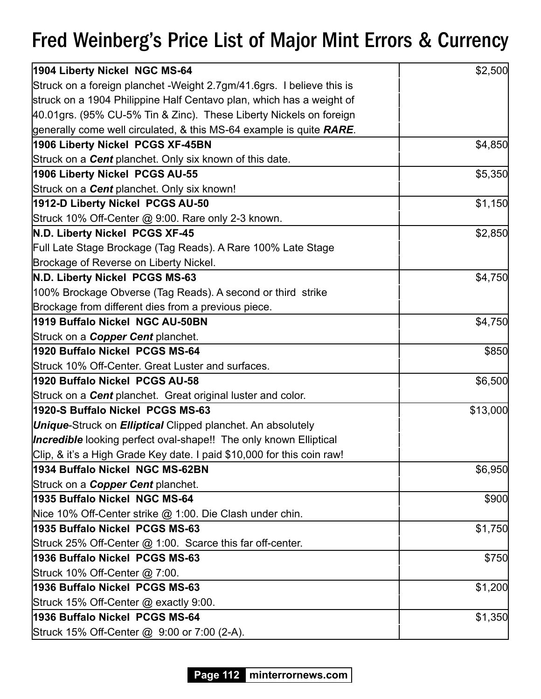| 1904 Liberty Nickel NGC MS-64                                            | \$2,500  |
|--------------------------------------------------------------------------|----------|
| Struck on a foreign planchet -Weight 2.7gm/41.6grs. I believe this is    |          |
| struck on a 1904 Philippine Half Centavo plan, which has a weight of     |          |
| 40.01grs. (95% CU-5% Tin & Zinc). These Liberty Nickels on foreign       |          |
| generally come well circulated, & this MS-64 example is quite RARE.      |          |
| 1906 Liberty Nickel PCGS XF-45BN                                         | \$4,850  |
| Struck on a <b>Cent</b> planchet. Only six known of this date.           |          |
| 1906 Liberty Nickel PCGS AU-55                                           | \$5,350  |
| Struck on a <b>Cent</b> planchet. Only six known!                        |          |
| 1912-D Liberty Nickel PCGS AU-50                                         | \$1,150  |
| Struck 10% Off-Center @ 9:00. Rare only 2-3 known.                       |          |
| N.D. Liberty Nickel PCGS XF-45                                           | \$2,850  |
| Full Late Stage Brockage (Tag Reads). A Rare 100% Late Stage             |          |
| Brockage of Reverse on Liberty Nickel.                                   |          |
| N.D. Liberty Nickel PCGS MS-63                                           | \$4,750  |
| 100% Brockage Obverse (Tag Reads). A second or third strike              |          |
| Brockage from different dies from a previous piece.                      |          |
| 1919 Buffalo Nickel NGC AU-50BN                                          | \$4,750  |
| Struck on a <b>Copper Cent</b> planchet.                                 |          |
| 1920 Buffalo Nickel PCGS MS-64                                           | \$850    |
| Struck 10% Off-Center. Great Luster and surfaces.                        |          |
| 1920 Buffalo Nickel PCGS AU-58                                           | \$6,500  |
| Struck on a <b>Cent</b> planchet. Great original luster and color.       |          |
| 1920-S Buffalo Nickel PCGS MS-63                                         | \$13,000 |
| <b>Unique-Struck on Elliptical Clipped planchet. An absolutely</b>       |          |
| <b>Incredible</b> looking perfect oval-shape!! The only known Elliptical |          |
| Clip, & it's a High Grade Key date. I paid \$10,000 for this coin raw!   |          |
| 1934 Buffalo Nickel NGC MS-62BN                                          | \$6,950  |
| Struck on a <b>Copper Cent</b> planchet.                                 |          |
| 1935 Buffalo Nickel NGC MS-64                                            | \$900    |
| Nice 10% Off-Center strike @ 1:00. Die Clash under chin.                 |          |
| 1935 Buffalo Nickel PCGS MS-63                                           | \$1,750  |
| Struck 25% Off-Center @ 1:00. Scarce this far off-center.                |          |
| 1936 Buffalo Nickel PCGS MS-63                                           | \$750    |
| Struck 10% Off-Center @ 7:00.                                            |          |
| 1936 Buffalo Nickel PCGS MS-63                                           | \$1,200  |
| Struck 15% Off-Center @ exactly 9:00.                                    |          |
| 1936 Buffalo Nickel PCGS MS-64                                           | \$1,350  |
| Struck 15% Off-Center @ 9:00 or 7:00 (2-A).                              |          |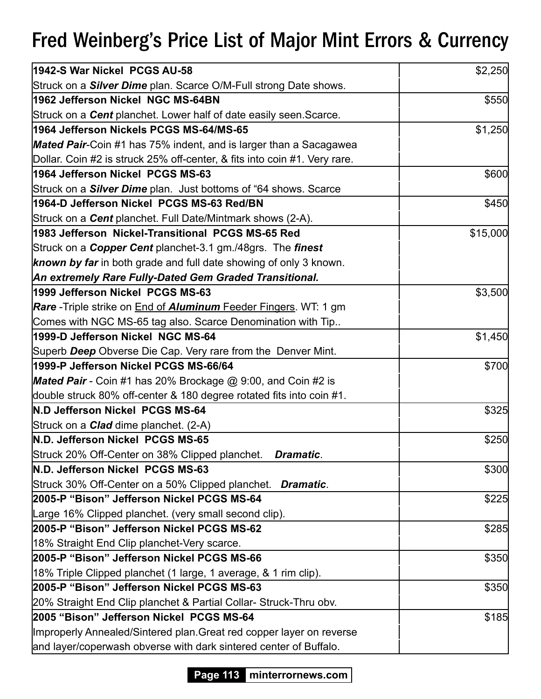| 1942-S War Nickel PCGS AU-58                                                   | \$2,250  |
|--------------------------------------------------------------------------------|----------|
| Struck on a <i>Silver Dime</i> plan. Scarce O/M-Full strong Date shows.        |          |
| 1962 Jefferson Nickel NGC MS-64BN                                              | \$550    |
| Struck on a <b>Cent</b> planchet. Lower half of date easily seen Scarce.       |          |
| 1964 Jefferson Nickels PCGS MS-64/MS-65                                        | \$1,250  |
| <b>Mated Pair-Coin #1 has 75% indent, and is larger than a Sacagawea</b>       |          |
| Dollar. Coin #2 is struck 25% off-center, & fits into coin #1. Very rare.      |          |
| 1964 Jefferson Nickel PCGS MS-63                                               | \$600    |
| Struck on a <b>Silver Dime</b> plan. Just bottoms of "64 shows. Scarce         |          |
| 1964-D Jefferson Nickel PCGS MS-63 Red/BN                                      | \$450    |
| Struck on a <b>Cent</b> planchet. Full Date/Mintmark shows (2-A).              |          |
| 1983 Jefferson Nickel-Transitional PCGS MS-65 Red                              | \$15,000 |
| Struck on a <b>Copper Cent</b> planchet-3.1 gm./48grs. The <i>finest</i>       |          |
| <b>known by far</b> in both grade and full date showing of only 3 known.       |          |
| An extremely Rare Fully-Dated Gem Graded Transitional.                         |          |
| 1999 Jefferson Nickel PCGS MS-63                                               | \$3,500  |
| <b>Rare</b> - Triple strike on <b>End of Aluminum</b> Feeder Fingers. WT: 1 gm |          |
| Comes with NGC MS-65 tag also. Scarce Denomination with Tip                    |          |
| 1999-D Jefferson Nickel NGC MS-64                                              | \$1,450  |
| Superb Deep Obverse Die Cap. Very rare from the Denver Mint.                   |          |
| 1999-P Jefferson Nickel PCGS MS-66/64                                          | \$700    |
| <b>Mated Pair</b> - Coin #1 has 20% Brockage $@$ 9:00, and Coin #2 is          |          |
| double struck 80% off-center & 180 degree rotated fits into coin #1.           |          |
| N.D Jefferson Nickel PCGS MS-64                                                | \$325    |
| Struck on a <b>Clad</b> dime planchet. (2-A)                                   |          |
| N.D. Jefferson Nickel PCGS MS-65                                               | \$250    |
| Struck 20% Off-Center on 38% Clipped planchet. Dramatic.                       |          |
| N.D. Jefferson Nickel PCGS MS-63                                               | \$300    |
| Struck 30% Off-Center on a 50% Clipped planchet. Dramatic.                     |          |
| 2005-P "Bison" Jefferson Nickel PCGS MS-64                                     | \$225    |
| Large 16% Clipped planchet. (very small second clip).                          |          |
| 2005-P "Bison" Jefferson Nickel PCGS MS-62                                     | \$285    |
| 18% Straight End Clip planchet-Very scarce.                                    |          |
| 2005-P "Bison" Jefferson Nickel PCGS MS-66                                     | \$350    |
| 18% Triple Clipped planchet (1 large, 1 average, & 1 rim clip).                |          |
| 2005-P "Bison" Jefferson Nickel PCGS MS-63                                     | \$350    |
| 20% Straight End Clip planchet & Partial Collar-Struck-Thru obv.               |          |
| 2005 "Bison" Jefferson Nickel PCGS MS-64                                       | \$185    |
| Improperly Annealed/Sintered plan. Great red copper layer on reverse           |          |
| and layer/coperwash obverse with dark sintered center of Buffalo.              |          |

**Page 113 minterrornews.com**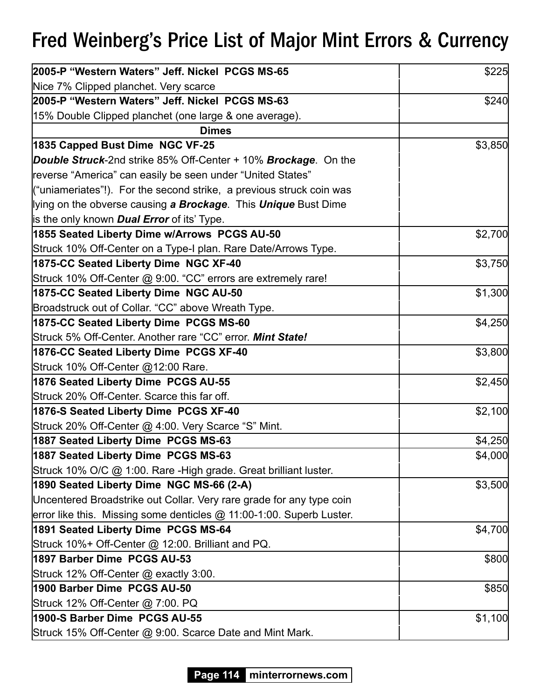| 2005-P "Western Waters" Jeff. Nickel PCGS MS-65                                | \$225   |
|--------------------------------------------------------------------------------|---------|
| Nice 7% Clipped planchet. Very scarce                                          |         |
| 2005-P "Western Waters" Jeff. Nickel PCGS MS-63                                | \$240   |
| 15% Double Clipped planchet (one large & one average).                         |         |
| <b>Dimes</b>                                                                   |         |
| 1835 Capped Bust Dime NGC VF-25                                                | \$3,850 |
| <b>Double Struck-</b> 2nd strike 85% Off-Center + 10% <b>Brockage</b> . On the |         |
| reverse "America" can easily be seen under "United States"                     |         |
| ("uniameriates"!). For the second strike, a previous struck coin was           |         |
| lying on the obverse causing a Brockage. This Unique Bust Dime                 |         |
| is the only known <b>Dual Error</b> of its' Type.                              |         |
| 1855 Seated Liberty Dime w/Arrows PCGS AU-50                                   | \$2,700 |
| Struck 10% Off-Center on a Type-I plan. Rare Date/Arrows Type.                 |         |
| 1875-CC Seated Liberty Dime NGC XF-40                                          | \$3,750 |
| Struck 10% Off-Center @ 9:00. "CC" errors are extremely rare!                  |         |
| 1875-CC Seated Liberty Dime NGC AU-50                                          | \$1,300 |
| Broadstruck out of Collar. "CC" above Wreath Type.                             |         |
| 1875-CC Seated Liberty Dime PCGS MS-60                                         | \$4,250 |
| Struck 5% Off-Center. Another rare "CC" error. Mint State!                     |         |
| 1876-CC Seated Liberty Dime PCGS XF-40                                         | \$3,800 |
| Struck 10% Off-Center @12:00 Rare.                                             |         |
| 1876 Seated Liberty Dime PCGS AU-55                                            | \$2,450 |
| Struck 20% Off-Center. Scarce this far off.                                    |         |
| 1876-S Seated Liberty Dime PCGS XF-40                                          | \$2,100 |
| Struck 20% Off-Center @ 4:00. Very Scarce "S" Mint.                            |         |
| 1887 Seated Liberty Dime PCGS MS-63                                            | \$4,250 |
| 1887 Seated Liberty Dime PCGS MS-63                                            | \$4,000 |
| Struck 10% O/C @ 1:00. Rare -High grade. Great brilliant luster.               |         |
| 1890 Seated Liberty Dime NGC MS-66 (2-A)                                       | \$3,500 |
| Uncentered Broadstrike out Collar. Very rare grade for any type coin           |         |
| error like this. Missing some denticles @ 11:00-1:00. Superb Luster.           |         |
| 1891 Seated Liberty Dime PCGS MS-64                                            | \$4,700 |
| Struck 10%+ Off-Center @ 12:00. Brilliant and PQ.                              |         |
| 1897 Barber Dime PCGS AU-53                                                    | \$800   |
| Struck 12% Off-Center @ exactly 3:00.                                          |         |
| 1900 Barber Dime PCGS AU-50                                                    | \$850   |
| Struck 12% Off-Center @ 7:00. PQ                                               |         |
| 1900-S Barber Dime PCGS AU-55                                                  | \$1,100 |
| Struck 15% Off-Center @ 9:00. Scarce Date and Mint Mark.                       |         |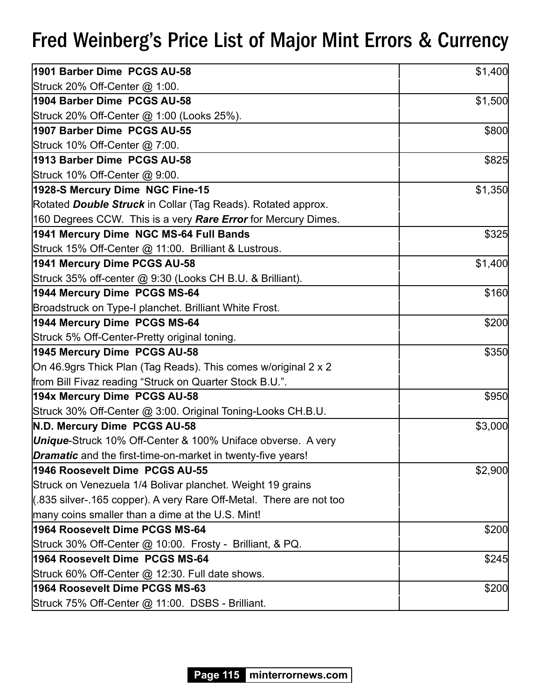| 1901 Barber Dime PCGS AU-58                                            | \$1,400 |
|------------------------------------------------------------------------|---------|
| Struck 20% Off-Center @ 1:00.                                          |         |
| 1904 Barber Dime PCGS AU-58                                            | \$1,500 |
| Struck 20% Off-Center @ 1:00 (Looks 25%).                              |         |
| 1907 Barber Dime PCGS AU-55                                            | \$800   |
| Struck 10% Off-Center @ 7:00.                                          |         |
| 1913 Barber Dime PCGS AU-58                                            | \$825   |
| Struck 10% Off-Center @ 9:00.                                          |         |
| 1928-S Mercury Dime NGC Fine-15                                        | \$1,350 |
| Rotated Double Struck in Collar (Tag Reads). Rotated approx.           |         |
| 160 Degrees CCW. This is a very <b>Rare Error</b> for Mercury Dimes.   |         |
| 1941 Mercury Dime NGC MS-64 Full Bands                                 | \$325   |
| Struck 15% Off-Center @ 11:00. Brilliant & Lustrous.                   |         |
| 1941 Mercury Dime PCGS AU-58                                           | \$1,400 |
| Struck 35% off-center @ 9:30 (Looks CH B.U. & Brilliant).              |         |
| 1944 Mercury Dime PCGS MS-64                                           | \$160   |
| Broadstruck on Type-I planchet. Brilliant White Frost.                 |         |
| 1944 Mercury Dime PCGS MS-64                                           | \$200   |
| Struck 5% Off-Center-Pretty original toning.                           |         |
| 1945 Mercury Dime PCGS AU-58                                           | \$350   |
| On 46.9grs Thick Plan (Tag Reads). This comes w/original 2 x 2         |         |
| from Bill Fivaz reading "Struck on Quarter Stock B.U.".                |         |
| 194x Mercury Dime PCGS AU-58                                           | \$950   |
| Struck 30% Off-Center @ 3:00. Original Toning-Looks CH.B.U.            |         |
| N.D. Mercury Dime PCGS AU-58                                           | \$3,000 |
| <b>Unique-Struck 10% Off-Center &amp; 100% Uniface obverse. A very</b> |         |
| <b>Dramatic</b> and the first-time-on-market in twenty-five years!     |         |
| 1946 Roosevelt Dime PCGS AU-55                                         | \$2,900 |
| Struck on Venezuela 1/4 Bolivar planchet. Weight 19 grains             |         |
| (.835 silver-.165 copper). A very Rare Off-Metal. There are not too    |         |
| many coins smaller than a dime at the U.S. Mint!                       |         |
| 1964 Roosevelt Dime PCGS MS-64                                         | \$200   |
| Struck 30% Off-Center @ 10:00. Frosty - Brilliant, & PQ.               |         |
| 1964 Roosevelt Dime PCGS MS-64                                         | \$245   |
| Struck 60% Off-Center @ 12:30. Full date shows.                        |         |
| 1964 Roosevelt Dime PCGS MS-63                                         | \$200   |
| Struck 75% Off-Center @ 11:00. DSBS - Brilliant.                       |         |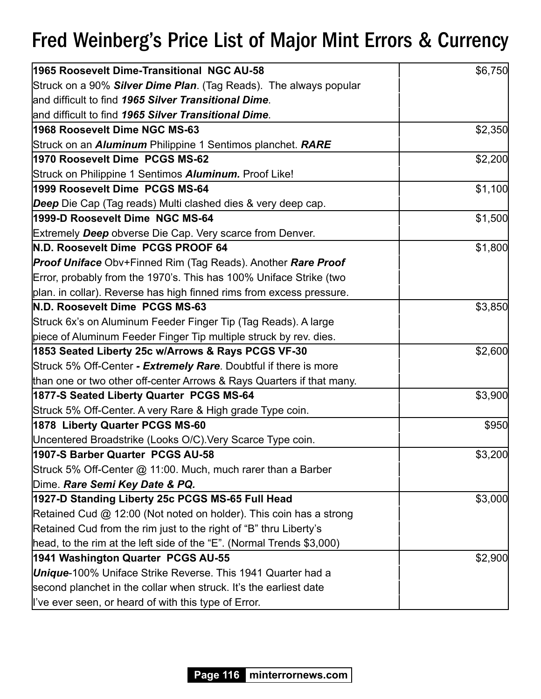| 1965 Roosevelt Dime-Transitional NGC AU-58                            | \$6,750 |
|-----------------------------------------------------------------------|---------|
| Struck on a 90% Silver Dime Plan. (Tag Reads). The always popular     |         |
| land difficult to find 1965 Silver Transitional Dime.                 |         |
| land difficult to find 1965 Silver Transitional Dime.                 |         |
| 1968 Roosevelt Dime NGC MS-63                                         | \$2,350 |
| Struck on an <i>Aluminum</i> Philippine 1 Sentimos planchet. RARE     |         |
| 1970 Roosevelt Dime PCGS MS-62                                        | \$2,200 |
| Struck on Philippine 1 Sentimos Aluminum. Proof Like!                 |         |
| 1999 Roosevelt Dime PCGS MS-64                                        | \$1,100 |
| <b>Deep</b> Die Cap (Tag reads) Multi clashed dies & very deep cap.   |         |
| 1999-D Roosevelt Dime NGC MS-64                                       | \$1,500 |
| Extremely Deep obverse Die Cap. Very scarce from Denver.              |         |
| N.D. Roosevelt Dime PCGS PROOF 64                                     | \$1,800 |
| <b>Proof Uniface Obv+Finned Rim (Tag Reads). Another Rare Proof</b>   |         |
| Error, probably from the 1970's. This has 100% Uniface Strike (two    |         |
| plan. in collar). Reverse has high finned rims from excess pressure.  |         |
| N.D. Roosevelt Dime PCGS MS-63                                        | \$3,850 |
| Struck 6x's on Aluminum Feeder Finger Tip (Tag Reads). A large        |         |
| piece of Aluminum Feeder Finger Tip multiple struck by rev. dies.     |         |
| 1853 Seated Liberty 25c w/Arrows & Rays PCGS VF-30                    | \$2,600 |
| Struck 5% Off-Center - Extremely Rare. Doubtful if there is more      |         |
| than one or two other off-center Arrows & Rays Quarters if that many. |         |
| 1877-S Seated Liberty Quarter PCGS MS-64                              | \$3,900 |
| Struck 5% Off-Center. A very Rare & High grade Type coin.             |         |
| 1878 Liberty Quarter PCGS MS-60                                       | \$950   |
| Uncentered Broadstrike (Looks O/C). Very Scarce Type coin.            |         |
| 1907-S Barber Quarter PCGS AU-58                                      | \$3,200 |
| Struck 5% Off-Center @ 11:00. Much, much rarer than a Barber          |         |
| Dime. Rare Semi Key Date & PQ.                                        |         |
| 1927-D Standing Liberty 25c PCGS MS-65 Full Head                      | \$3,000 |
| Retained Cud @ 12:00 (Not noted on holder). This coin has a strong    |         |
| Retained Cud from the rim just to the right of "B" thru Liberty's     |         |
| head, to the rim at the left side of the "E". (Normal Trends \$3,000) |         |
| 1941 Washington Quarter PCGS AU-55                                    | \$2,900 |
| <b>Unique-100%</b> Uniface Strike Reverse. This 1941 Quarter had a    |         |
| second planchet in the collar when struck. It's the earliest date     |         |
| l've ever seen, or heard of with this type of Error.                  |         |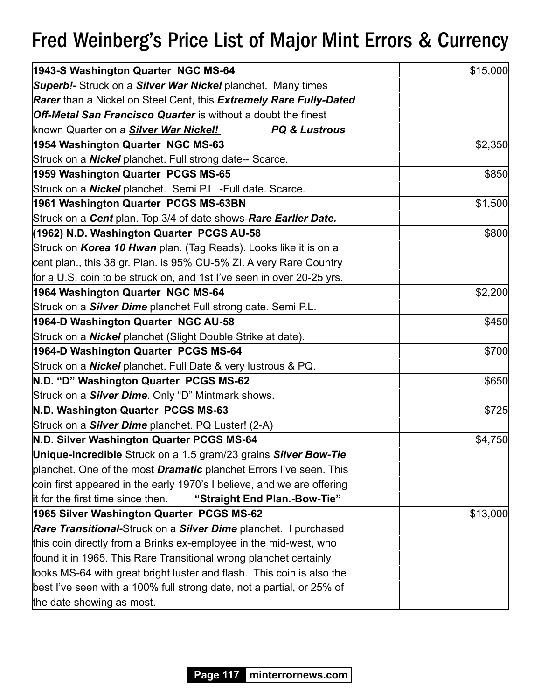| 1943-S Washington Quarter NGC MS-64                                              | \$15,000 |
|----------------------------------------------------------------------------------|----------|
| <b>Superb!-</b> Struck on a <b>Silver War Nickel</b> planchet. Many times        |          |
| <b>Rarer</b> than a Nickel on Steel Cent, this <b>Extremely Rare Fully-Dated</b> |          |
| <b>Off-Metal San Francisco Quarter</b> is without a doubt the finest             |          |
| known Quarter on a <b>Silver War Nickel!</b><br><b>PQ &amp; Lustrous</b>         |          |
| 1954 Washington Quarter NGC MS-63                                                | \$2,350  |
| Struck on a <b>Nickel</b> planchet. Full strong date-- Scarce.                   |          |
| 1959 Washington Quarter PCGS MS-65                                               | \$850    |
| Struck on a <b>Nickel</b> planchet. Semi P.L -Full date. Scarce.                 |          |
| 1961 Washington Quarter PCGS MS-63BN                                             | \$1,500  |
| Struck on a Cent plan. Top 3/4 of date shows-Rare Earlier Date.                  |          |
| (1962) N.D. Washington Quarter PCGS AU-58                                        | \$800    |
| Struck on Korea 10 Hwan plan. (Tag Reads). Looks like it is on a                 |          |
| cent plan., this 38 gr. Plan. is 95% CU-5% ZI. A very Rare Country               |          |
| for a U.S. coin to be struck on, and 1st I've seen in over 20-25 yrs.            |          |
| 1964 Washington Quarter NGC MS-64                                                | \$2,200  |
| Struck on a <b>Silver Dime</b> planchet Full strong date. Semi P.L.              |          |
| 1964-D Washington Quarter NGC AU-58                                              | \$450    |
| Struck on a <b>Nickel</b> planchet (Slight Double Strike at date).               |          |
| 1964-D Washington Quarter PCGS MS-64                                             | \$700    |
| Struck on a <b>Nickel</b> planchet. Full Date & very lustrous & PQ.              |          |
| N.D. "D" Washington Quarter PCGS MS-62                                           | \$650    |
| Struck on a <b>Silver Dime</b> . Only "D" Mintmark shows.                        |          |
| N.D. Washington Quarter PCGS MS-63                                               | \$725    |
| Struck on a <b>Silver Dime</b> planchet. PQ Luster! (2-A)                        |          |
| N.D. Silver Washington Quarter PCGS MS-64                                        | \$4,750  |
| Unique-Incredible Struck on a 1.5 gram/23 grains Silver Bow-Tie                  |          |
| planchet. One of the most <b>Dramatic</b> planchet Errors I've seen. This        |          |
| coin first appeared in the early 1970's I believe, and we are offering           |          |
| lit for the first time since then.<br>"Straight End Plan.-Bow-Tie"               |          |
| 1965 Silver Washington Quarter PCGS MS-62                                        | \$13,000 |
| <b>Rare Transitional-Struck on a Silver Dime planchet.</b> I purchased           |          |
| this coin directly from a Brinks ex-employee in the mid-west, who                |          |
| found it in 1965. This Rare Transitional wrong planchet certainly                |          |
| looks MS-64 with great bright luster and flash. This coin is also the            |          |
| best I've seen with a 100% full strong date, not a partial, or 25% of            |          |
| the date showing as most.                                                        |          |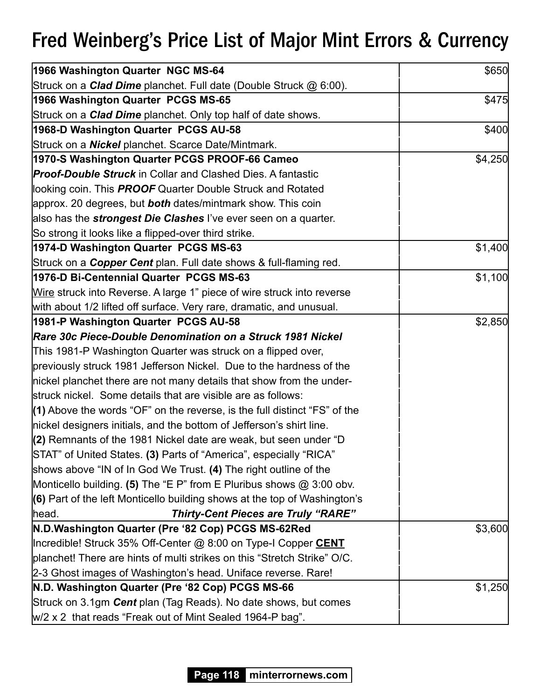| 1966 Washington Quarter NGC MS-64                                           | \$650   |
|-----------------------------------------------------------------------------|---------|
| Struck on a <i>Clad Dime</i> planchet. Full date (Double Struck @ 6:00).    |         |
| 1966 Washington Quarter PCGS MS-65                                          | \$475   |
| Struck on a <b>Clad Dime</b> planchet. Only top half of date shows.         |         |
| 1968-D Washington Quarter PCGS AU-58                                        | \$400   |
| Struck on a <b>Nickel</b> planchet. Scarce Date/Mintmark.                   |         |
| 1970-S Washington Quarter PCGS PROOF-66 Cameo                               | \$4,250 |
| <b>Proof-Double Struck</b> in Collar and Clashed Dies. A fantastic          |         |
| looking coin. This <b>PROOF</b> Quarter Double Struck and Rotated           |         |
| approx. 20 degrees, but <b>both</b> dates/mintmark show. This coin          |         |
| also has the <b>strongest Die Clashes</b> l've ever seen on a quarter.      |         |
| So strong it looks like a flipped-over third strike.                        |         |
| 1974-D Washington Quarter PCGS MS-63                                        | \$1,400 |
| Struck on a <b>Copper Cent</b> plan. Full date shows & full-flaming red.    |         |
| 1976-D Bi-Centennial Quarter PCGS MS-63                                     | \$1,100 |
| Wire struck into Reverse. A large 1" piece of wire struck into reverse      |         |
| with about 1/2 lifted off surface. Very rare, dramatic, and unusual.        |         |
| 1981-P Washington Quarter PCGS AU-58                                        | \$2,850 |
| Rare 30c Piece-Double Denomination on a Struck 1981 Nickel                  |         |
| This 1981-P Washington Quarter was struck on a flipped over,                |         |
| previously struck 1981 Jefferson Nickel. Due to the hardness of the         |         |
| nickel planchet there are not many details that show from the under-        |         |
| struck nickel. Some details that are visible are as follows:                |         |
| $(1)$ Above the words "OF" on the reverse, is the full distinct "FS" of the |         |
| nickel designers initials, and the bottom of Jefferson's shirt line.        |         |
| (2) Remnants of the 1981 Nickel date are weak, but seen under "D            |         |
| STAT" of United States. (3) Parts of "America", especially "RICA"           |         |
| shows above "IN of In God We Trust. (4) The right outline of the            |         |
| Monticello building. (5) The "E P" from E Pluribus shows @ 3:00 obv.        |         |
| (6) Part of the left Monticello building shows at the top of Washington's   |         |
| <b>Thirty-Cent Pieces are Truly "RARE"</b><br>head.                         |         |
| N.D.Washington Quarter (Pre '82 Cop) PCGS MS-62Red                          | \$3,600 |
| Incredible! Struck 35% Off-Center @ 8:00 on Type-I Copper CENT              |         |
| planchet! There are hints of multi strikes on this "Stretch Strike" O/C.    |         |
| 2-3 Ghost images of Washington's head. Uniface reverse. Rare!               |         |
| N.D. Washington Quarter (Pre '82 Cop) PCGS MS-66                            | \$1,250 |
| Struck on 3.1gm Cent plan (Tag Reads). No date shows, but comes             |         |
| W/2 x 2 that reads "Freak out of Mint Sealed 1964-P bag".                   |         |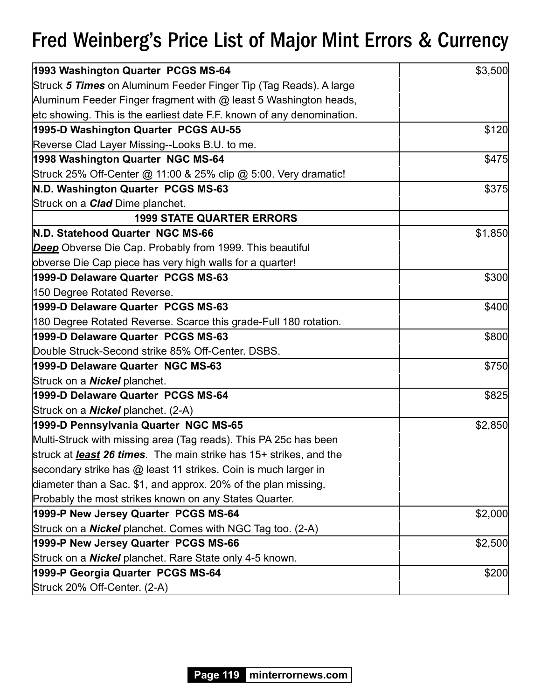| 1993 Washington Quarter PCGS MS-64                                         | \$3,500 |
|----------------------------------------------------------------------------|---------|
| Struck 5 Times on Aluminum Feeder Finger Tip (Tag Reads). A large          |         |
| Aluminum Feeder Finger fragment with @ least 5 Washington heads,           |         |
| etc showing. This is the earliest date F.F. known of any denomination.     |         |
| 1995-D Washington Quarter PCGS AU-55                                       | \$120   |
| Reverse Clad Layer Missing--Looks B.U. to me.                              |         |
| 1998 Washington Quarter NGC MS-64                                          | \$475   |
| Struck 25% Off-Center @ 11:00 & 25% clip @ 5:00. Very dramatic!            |         |
| N.D. Washington Quarter PCGS MS-63                                         | \$375   |
| Struck on a <b>Clad</b> Dime planchet.                                     |         |
| <b>1999 STATE QUARTER ERRORS</b>                                           |         |
| N.D. Statehood Quarter NGC MS-66                                           | \$1,850 |
| <b>Deep</b> Obverse Die Cap. Probably from 1999. This beautiful            |         |
| obverse Die Cap piece has very high walls for a quarter!                   |         |
| 1999-D Delaware Quarter PCGS MS-63                                         | \$300   |
| 150 Degree Rotated Reverse.                                                |         |
| 1999-D Delaware Quarter PCGS MS-63                                         | \$400   |
| 180 Degree Rotated Reverse. Scarce this grade-Full 180 rotation.           |         |
| 1999-D Delaware Quarter PCGS MS-63                                         | \$800   |
| Double Struck-Second strike 85% Off-Center. DSBS.                          |         |
| 1999-D Delaware Quarter NGC MS-63                                          | \$750   |
| Struck on a <b>Nickel</b> planchet.                                        |         |
| 1999-D Delaware Quarter PCGS MS-64                                         | \$825   |
| Struck on a <b>Nickel</b> planchet. (2-A)                                  |         |
| 1999-D Pennsylvania Quarter NGC MS-65                                      | \$2,850 |
| Multi-Struck with missing area (Tag reads). This PA 25c has been           |         |
| struck at <b>least 26 times</b> . The main strike has 15+ strikes, and the |         |
| secondary strike has @ least 11 strikes. Coin is much larger in            |         |
| diameter than a Sac. \$1, and approx. 20% of the plan missing.             |         |
| Probably the most strikes known on any States Quarter.                     |         |
| 1999-P New Jersey Quarter PCGS MS-64                                       | \$2,000 |
| Struck on a <b>Nickel</b> planchet. Comes with NGC Tag too. (2-A)          |         |
| 1999-P New Jersey Quarter PCGS MS-66                                       | \$2,500 |
| Struck on a <b>Nickel</b> planchet. Rare State only 4-5 known.             |         |
| 1999-P Georgia Quarter PCGS MS-64                                          | \$200   |
| Struck 20% Off-Center. (2-A)                                               |         |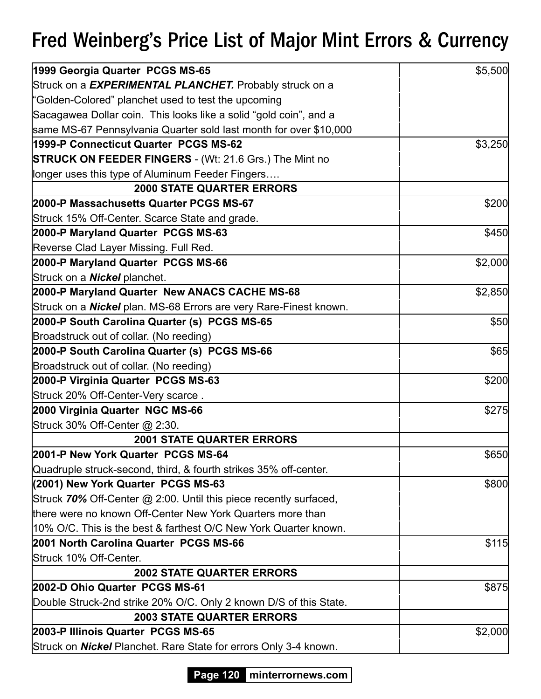| 1999 Georgia Quarter PCGS MS-65                                          | \$5,500 |
|--------------------------------------------------------------------------|---------|
| Struck on a EXPERIMENTAL PLANCHET. Probably struck on a                  |         |
| "Golden-Colored" planchet used to test the upcoming                      |         |
| Sacagawea Dollar coin. This looks like a solid "gold coin", and a        |         |
| same MS-67 Pennsylvania Quarter sold last month for over \$10,000        |         |
| 1999-P Connecticut Quarter PCGS MS-62                                    | \$3,250 |
| <b>STRUCK ON FEEDER FINGERS - (Wt: 21.6 Grs.) The Mint no</b>            |         |
| longer uses this type of Aluminum Feeder Fingers                         |         |
| <b>2000 STATE QUARTER ERRORS</b>                                         |         |
| 2000-P Massachusetts Quarter PCGS MS-67                                  | \$200   |
| Struck 15% Off-Center. Scarce State and grade.                           |         |
| 2000-P Maryland Quarter PCGS MS-63                                       | \$450   |
| Reverse Clad Layer Missing. Full Red.                                    |         |
| 2000-P Maryland Quarter PCGS MS-66                                       | \$2,000 |
| Struck on a <b>Nickel</b> planchet.                                      |         |
| 2000-P Maryland Quarter New ANACS CACHE MS-68                            | \$2,850 |
| Struck on a <b>Nickel</b> plan. MS-68 Errors are very Rare-Finest known. |         |
| 2000-P South Carolina Quarter (s) PCGS MS-65                             | \$50    |
| Broadstruck out of collar. (No reeding)                                  |         |
| 2000-P South Carolina Quarter (s) PCGS MS-66                             | \$65    |
| Broadstruck out of collar. (No reeding)                                  |         |
| 2000-P Virginia Quarter PCGS MS-63                                       | \$200   |
| Struck 20% Off-Center-Very scarce.                                       |         |
| 2000 Virginia Quarter NGC MS-66                                          | \$275   |
| Struck 30% Off-Center @ 2:30.                                            |         |
| <b>2001 STATE QUARTER ERRORS</b>                                         |         |
| 2001-P New York Quarter PCGS MS-64                                       | \$650   |
| Quadruple struck-second, third, & fourth strikes 35% off-center.         |         |
| (2001) New York Quarter PCGS MS-63                                       | \$800   |
| Struck 70% Off-Center @ 2:00. Until this piece recently surfaced,        |         |
| there were no known Off-Center New York Quarters more than               |         |
| 10% O/C. This is the best & farthest O/C New York Quarter known.         |         |
| 2001 North Carolina Quarter PCGS MS-66                                   | \$115   |
| Struck 10% Off-Center.                                                   |         |
| <b>2002 STATE QUARTER ERRORS</b>                                         |         |
| 2002-D Ohio Quarter PCGS MS-61                                           | \$875   |
| Double Struck-2nd strike 20% O/C. Only 2 known D/S of this State.        |         |
| <b>2003 STATE QUARTER ERRORS</b>                                         |         |
| 2003-P Illinois Quarter PCGS MS-65                                       | \$2,000 |
| Struck on <b>Nickel</b> Planchet. Rare State for errors Only 3-4 known.  |         |

**Page 120 minterrornews.com**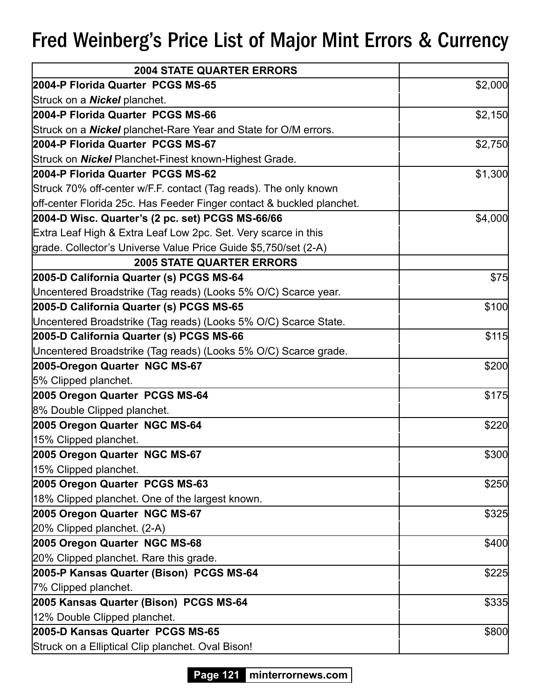| <b>2004 STATE QUARTER ERRORS</b>                                       |         |
|------------------------------------------------------------------------|---------|
| 2004-P Florida Quarter PCGS MS-65                                      | \$2,000 |
| Struck on a <b>Nickel</b> planchet.                                    |         |
| 2004-P Florida Quarter PCGS MS-66                                      | \$2,150 |
| Struck on a <b>Nickel</b> planchet-Rare Year and State for O/M errors. |         |
| 2004-P Florida Quarter PCGS MS-67                                      | \$2,750 |
| Struck on <b>Nickel</b> Planchet-Finest known-Highest Grade.           |         |
| 2004-P Florida Quarter PCGS MS-62                                      | \$1,300 |
| Struck 70% off-center w/F.F. contact (Tag reads). The only known       |         |
| off-center Florida 25c. Has Feeder Finger contact & buckled planchet.  |         |
| 2004-D Wisc. Quarter's (2 pc. set) PCGS MS-66/66                       | \$4,000 |
| Extra Leaf High & Extra Leaf Low 2pc. Set. Very scarce in this         |         |
| grade. Collector's Universe Value Price Guide \$5,750/set (2-A)        |         |
| <b>2005 STATE QUARTER ERRORS</b>                                       |         |
| 2005-D California Quarter (s) PCGS MS-64                               | \$75    |
| Uncentered Broadstrike (Tag reads) (Looks 5% O/C) Scarce year.         |         |
| 2005-D California Quarter (s) PCGS MS-65                               | \$100   |
| Uncentered Broadstrike (Tag reads) (Looks 5% O/C) Scarce State.        |         |
| 2005-D California Quarter (s) PCGS MS-66                               | \$115   |
| Uncentered Broadstrike (Tag reads) (Looks 5% O/C) Scarce grade.        |         |
| 2005-Oregon Quarter NGC MS-67                                          | \$200   |
| 5% Clipped planchet.                                                   |         |
| 2005 Oregon Quarter PCGS MS-64                                         | \$175   |
| 8% Double Clipped planchet.                                            |         |
| 2005 Oregon Quarter NGC MS-64                                          | \$220   |
| 15% Clipped planchet.                                                  |         |
| 2005 Oregon Quarter NGC MS-67                                          | \$300   |
| 15% Clipped planchet.                                                  |         |
| 2005 Oregon Quarter PCGS MS-63                                         | \$250   |
| 18% Clipped planchet. One of the largest known.                        |         |
| 2005 Oregon Quarter NGC MS-67                                          | \$325   |
| 20% Clipped planchet. (2-A)                                            |         |
| 2005 Oregon Quarter NGC MS-68                                          | \$400   |
| 20% Clipped planchet. Rare this grade.                                 |         |
| 2005-P Kansas Quarter (Bison) PCGS MS-64                               | \$225   |
| 7% Clipped planchet.                                                   |         |
| 2005 Kansas Quarter (Bison) PCGS MS-64                                 | \$335   |
| 12% Double Clipped planchet.                                           |         |
| 2005-D Kansas Quarter PCGS MS-65                                       | \$800   |
| Struck on a Elliptical Clip planchet. Oval Bison!                      |         |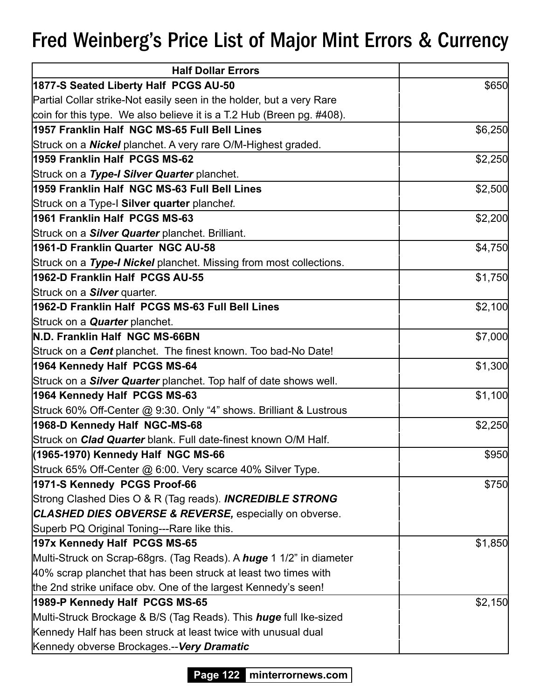| <b>Half Dollar Errors</b>                                                  |         |
|----------------------------------------------------------------------------|---------|
| 1877-S Seated Liberty Half PCGS AU-50                                      | \$650   |
| Partial Collar strike-Not easily seen in the holder, but a very Rare       |         |
| coin for this type. We also believe it is a T.2 Hub (Breen pg. #408).      |         |
| 1957 Franklin Half NGC MS-65 Full Bell Lines                               | \$6,250 |
| Struck on a <b>Nickel</b> planchet. A very rare O/M-Highest graded.        |         |
| 1959 Franklin Half PCGS MS-62                                              | \$2,250 |
| Struck on a Type-I Silver Quarter planchet.                                |         |
| 1959 Franklin Half NGC MS-63 Full Bell Lines                               | \$2,500 |
| Struck on a Type-I Silver quarter planchet.                                |         |
| 1961 Franklin Half PCGS MS-63                                              | \$2,200 |
| Struck on a <b>Silver Quarter</b> planchet. Brilliant.                     |         |
| 1961-D Franklin Quarter NGC AU-58                                          | \$4,750 |
| Struck on a Type-I Nickel planchet. Missing from most collections.         |         |
| 1962-D Franklin Half PCGS AU-55                                            | \$1,750 |
| Struck on a <b>Silver</b> quarter.                                         |         |
| 1962-D Franklin Half PCGS MS-63 Full Bell Lines                            | \$2,100 |
| Struck on a <b>Quarter</b> planchet.                                       |         |
| N.D. Franklin Half NGC MS-66BN                                             | \$7,000 |
| Struck on a <b>Cent</b> planchet. The finest known. Too bad-No Date!       |         |
| 1964 Kennedy Half PCGS MS-64                                               | \$1,300 |
| Struck on a <i>Silver Quarter</i> planchet. Top half of date shows well.   |         |
| 1964 Kennedy Half PCGS MS-63                                               | \$1,100 |
| Struck 60% Off-Center @ 9:30. Only "4" shows. Brilliant & Lustrous         |         |
| 1968-D Kennedy Half NGC-MS-68                                              | \$2,250 |
| Struck on <i>Clad Quarter</i> blank. Full date-finest known O/M Half.      |         |
| (1965-1970) Kennedy Half NGC MS-66                                         | \$950   |
| Struck 65% Off-Center @ 6:00. Very scarce 40% Silver Type.                 |         |
| 1971-S Kennedy PCGS Proof-66                                               | \$750   |
| Strong Clashed Dies O & R (Tag reads). INCREDIBLE STRONG                   |         |
| CLASHED DIES OBVERSE & REVERSE, especially on obverse.                     |         |
| Superb PQ Original Toning---Rare like this.                                |         |
| 197x Kennedy Half PCGS MS-65                                               | \$1,850 |
| Multi-Struck on Scrap-68grs. (Tag Reads). A <i>huge</i> 1 1/2" in diameter |         |
| 40% scrap planchet that has been struck at least two times with            |         |
| the 2nd strike uniface obv. One of the largest Kennedy's seen!             |         |
| 1989-P Kennedy Half PCGS MS-65                                             | \$2,150 |
| Multi-Struck Brockage & B/S (Tag Reads). This <i>huge</i> full Ike-sized   |         |
| Kennedy Half has been struck at least twice with unusual dual              |         |
| Kennedy obverse Brockages.-- Very Dramatic                                 |         |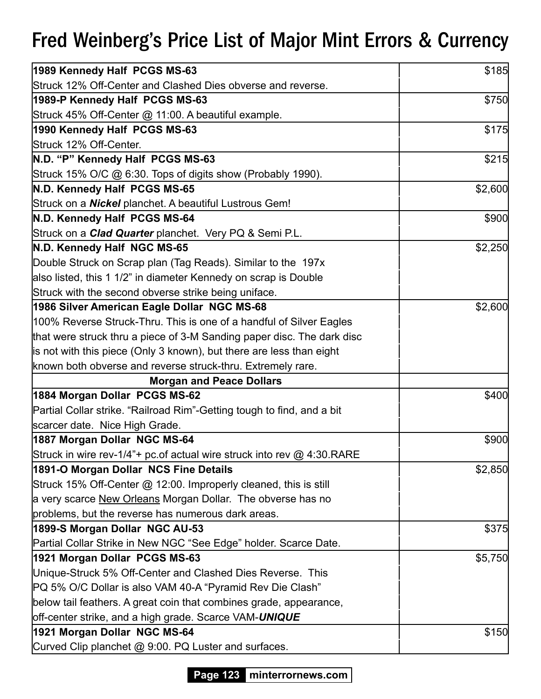| 1989 Kennedy Half PCGS MS-63                                            | \$185   |
|-------------------------------------------------------------------------|---------|
| Struck 12% Off-Center and Clashed Dies obverse and reverse.             |         |
| 1989-P Kennedy Half PCGS MS-63                                          | \$750   |
| Struck 45% Off-Center @ 11:00. A beautiful example.                     |         |
| 1990 Kennedy Half PCGS MS-63                                            | \$175   |
| Struck 12% Off-Center.                                                  |         |
| N.D. "P" Kennedy Half PCGS MS-63                                        | \$215   |
| Struck 15% O/C @ 6:30. Tops of digits show (Probably 1990).             |         |
| N.D. Kennedy Half PCGS MS-65                                            | \$2,600 |
| Struck on a <b>Nickel</b> planchet. A beautiful Lustrous Gem!           |         |
| N.D. Kennedy Half PCGS MS-64                                            | \$900   |
| Struck on a <i>Clad Quarter</i> planchet. Very PQ & Semi P.L.           |         |
| N.D. Kennedy Half NGC MS-65                                             | \$2,250 |
| Double Struck on Scrap plan (Tag Reads). Similar to the 197x            |         |
| also listed, this 1 1/2" in diameter Kennedy on scrap is Double         |         |
| Struck with the second obverse strike being uniface.                    |         |
| 1986 Silver American Eagle Dollar NGC MS-68                             | \$2,600 |
| 100% Reverse Struck-Thru. This is one of a handful of Silver Eagles     |         |
| that were struck thru a piece of 3-M Sanding paper disc. The dark disc  |         |
| is not with this piece (Only 3 known), but there are less than eight    |         |
| known both obverse and reverse struck-thru. Extremely rare.             |         |
| <b>Morgan and Peace Dollars</b>                                         |         |
| 1884 Morgan Dollar PCGS MS-62                                           | \$400   |
| Partial Collar strike. "Railroad Rim"-Getting tough to find, and a bit  |         |
| scarcer date. Nice High Grade.                                          |         |
| 1887 Morgan Dollar NGC MS-64                                            | \$900   |
| Struck in wire rev-1/4"+ pc.of actual wire struck into rev @ 4:30. RARE |         |
| 1891-O Morgan Dollar NCS Fine Details                                   | \$2,850 |
| Struck 15% Off-Center @ 12:00. Improperly cleaned, this is still        |         |
| a very scarce New Orleans Morgan Dollar. The obverse has no             |         |
| problems, but the reverse has numerous dark areas.                      |         |
| 1899-S Morgan Dollar NGC AU-53                                          | \$375   |
| Partial Collar Strike in New NGC "See Edge" holder. Scarce Date.        |         |
| 1921 Morgan Dollar PCGS MS-63                                           | \$5,750 |
| Unique-Struck 5% Off-Center and Clashed Dies Reverse. This              |         |
| PQ 5% O/C Dollar is also VAM 40-A "Pyramid Rev Die Clash"               |         |
| below tail feathers. A great coin that combines grade, appearance,      |         |
| off-center strike, and a high grade. Scarce VAM-UNIQUE                  |         |
| 1921 Morgan Dollar NGC MS-64                                            | \$150   |
| Curved Clip planchet @ 9:00. PQ Luster and surfaces.                    |         |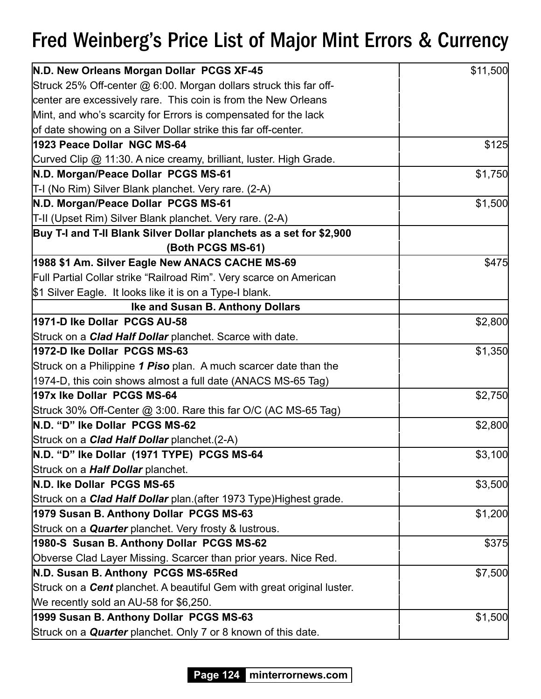| N.D. New Orleans Morgan Dollar PCGS XF-45                                     | \$11,500 |
|-------------------------------------------------------------------------------|----------|
| Struck 25% Off-center @ 6:00. Morgan dollars struck this far off-             |          |
| center are excessively rare. This coin is from the New Orleans                |          |
| Mint, and who's scarcity for Errors is compensated for the lack               |          |
| of date showing on a Silver Dollar strike this far off-center.                |          |
| 1923 Peace Dollar NGC MS-64                                                   | \$125    |
| Curved Clip @ 11:30. A nice creamy, brilliant, luster. High Grade.            |          |
| N.D. Morgan/Peace Dollar PCGS MS-61                                           | \$1,750  |
| T-I (No Rim) Silver Blank planchet. Very rare. (2-A)                          |          |
| N.D. Morgan/Peace Dollar PCGS MS-61                                           | \$1,500  |
| T-II (Upset Rim) Silver Blank planchet. Very rare. (2-A)                      |          |
| Buy T-I and T-II Blank Silver Dollar planchets as a set for \$2,900           |          |
| (Both PCGS MS-61)                                                             |          |
| 1988 \$1 Am. Silver Eagle New ANACS CACHE MS-69                               | \$475    |
| Full Partial Collar strike "Railroad Rim". Very scarce on American            |          |
| \$1 Silver Eagle. It looks like it is on a Type-I blank.                      |          |
| <b>Ike and Susan B. Anthony Dollars</b>                                       |          |
| 1971-D Ike Dollar PCGS AU-58                                                  | \$2,800  |
| Struck on a <b>Clad Half Dollar</b> planchet. Scarce with date.               |          |
| 1972-D Ike Dollar PCGS MS-63                                                  | \$1,350  |
| Struck on a Philippine 1 Piso plan. A much scarcer date than the              |          |
| 1974-D, this coin shows almost a full date (ANACS MS-65 Tag)                  |          |
| 197x Ike Dollar PCGS MS-64                                                    | \$2,750  |
| Struck 30% Off-Center @ 3:00. Rare this far O/C (AC MS-65 Tag)                |          |
| N.D. "D" Ike Dollar PCGS MS-62                                                | \$2,800  |
| Struck on a <b>Clad Half Dollar</b> planchet. (2-A)                           |          |
| N.D. "D" Ike Dollar (1971 TYPE) PCGS MS-64                                    | \$3,100  |
| Struck on a <b>Half Dollar</b> planchet.                                      |          |
| N.D. Ike Dollar PCGS MS-65                                                    | \$3,500  |
| Struck on a <b>Clad Half Dollar</b> plan. (after 1973 Type) Highest grade.    |          |
| 1979 Susan B. Anthony Dollar PCGS MS-63                                       | \$1,200  |
| Struck on a <b>Quarter</b> planchet. Very frosty & lustrous.                  |          |
| 1980-S Susan B. Anthony Dollar PCGS MS-62                                     | \$375    |
| Obverse Clad Layer Missing. Scarcer than prior years. Nice Red.               |          |
| N.D. Susan B. Anthony PCGS MS-65Red                                           | \$7,500  |
| Struck on a <b>Cent</b> planchet. A beautiful Gem with great original luster. |          |
| We recently sold an AU-58 for \$6,250.                                        |          |
| 1999 Susan B. Anthony Dollar PCGS MS-63                                       | \$1,500  |
| Struck on a Quarter planchet. Only 7 or 8 known of this date.                 |          |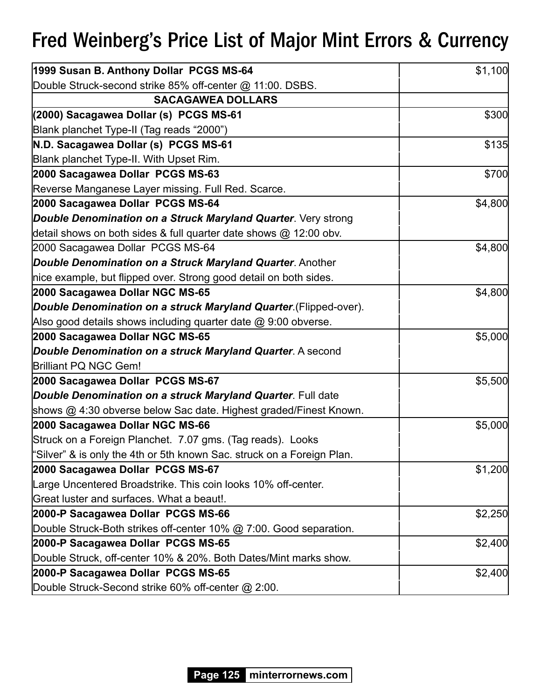| 1999 Susan B. Anthony Dollar PCGS MS-64                                | \$1,100 |
|------------------------------------------------------------------------|---------|
| Double Struck-second strike 85% off-center @ 11:00. DSBS.              |         |
| <b>SACAGAWEA DOLLARS</b>                                               |         |
| (2000) Sacagawea Dollar (s) PCGS MS-61                                 | \$300   |
| Blank planchet Type-II (Tag reads "2000")                              |         |
| N.D. Sacagawea Dollar (s) PCGS MS-61                                   | \$135   |
| Blank planchet Type-II. With Upset Rim.                                |         |
| 2000 Sacagawea Dollar PCGS MS-63                                       | \$700   |
| Reverse Manganese Layer missing. Full Red. Scarce.                     |         |
| 2000 Sacagawea Dollar PCGS MS-64                                       | \$4,800 |
| Double Denomination on a Struck Maryland Quarter. Very strong          |         |
| detail shows on both sides & full quarter date shows @ 12:00 obv.      |         |
| 2000 Sacagawea Dollar PCGS MS-64                                       | \$4,800 |
| Double Denomination on a Struck Maryland Quarter. Another              |         |
| nice example, but flipped over. Strong good detail on both sides.      |         |
| 2000 Sacagawea Dollar NGC MS-65                                        | \$4,800 |
| Double Denomination on a struck Maryland Quarter (Flipped-over).       |         |
| Also good details shows including quarter date $@9:00$ obverse.        |         |
| 2000 Sacagawea Dollar NGC MS-65                                        | \$5,000 |
| Double Denomination on a struck Maryland Quarter. A second             |         |
| <b>Brilliant PQ NGC Gem!</b>                                           |         |
| 2000 Sacagawea Dollar PCGS MS-67                                       | \$5,500 |
| Double Denomination on a struck Maryland Quarter. Full date            |         |
| shows @ 4:30 obverse below Sac date. Highest graded/Finest Known.      |         |
| 2000 Sacagawea Dollar NGC MS-66                                        | \$5,000 |
| Struck on a Foreign Planchet. 7.07 gms. (Tag reads). Looks             |         |
| "Silver" & is only the 4th or 5th known Sac. struck on a Foreign Plan. |         |
| 2000 Sacagawea Dollar PCGS MS-67                                       | \$1,200 |
| Large Uncentered Broadstrike. This coin looks 10% off-center.          |         |
| Great luster and surfaces. What a beaut!.                              |         |
| 2000-P Sacagawea Dollar PCGS MS-66                                     | \$2,250 |
| Double Struck-Both strikes off-center 10% @ 7:00. Good separation.     |         |
| 2000-P Sacagawea Dollar PCGS MS-65                                     | \$2,400 |
| Double Struck, off-center 10% & 20%. Both Dates/Mint marks show.       |         |
| 2000-P Sacagawea Dollar PCGS MS-65                                     | \$2,400 |
| Double Struck-Second strike 60% off-center @ 2:00.                     |         |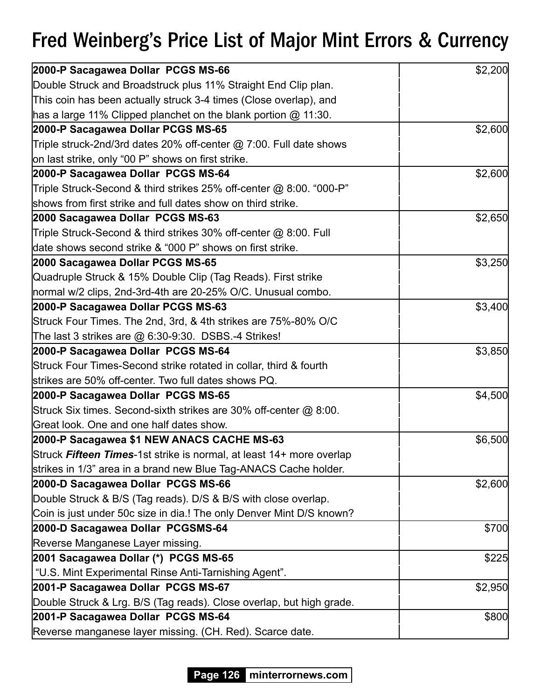| 2000-P Sacagawea Dollar PCGS MS-66                                   | \$2,200 |
|----------------------------------------------------------------------|---------|
| Double Struck and Broadstruck plus 11% Straight End Clip plan.       |         |
| This coin has been actually struck 3-4 times (Close overlap), and    |         |
| has a large 11% Clipped planchet on the blank portion $@$ 11:30.     |         |
| 2000-P Sacagawea Dollar PCGS MS-65                                   | \$2,600 |
| Triple struck-2nd/3rd dates 20% off-center @ 7:00. Full date shows   |         |
| on last strike, only "00 P" shows on first strike.                   |         |
| 2000-P Sacagawea Dollar PCGS MS-64                                   | \$2,600 |
| Triple Struck-Second & third strikes 25% off-center @ 8:00. "000-P"  |         |
| shows from first strike and full dates show on third strike.         |         |
| 2000 Sacagawea Dollar PCGS MS-63                                     | \$2,650 |
| Triple Struck-Second & third strikes 30% off-center @ 8:00. Full     |         |
| date shows second strike & "000 P" shows on first strike.            |         |
| 2000 Sacagawea Dollar PCGS MS-65                                     | \$3,250 |
| Quadruple Struck & 15% Double Clip (Tag Reads). First strike         |         |
| normal w/2 clips, 2nd-3rd-4th are 20-25% O/C. Unusual combo.         |         |
| 2000-P Sacagawea Dollar PCGS MS-63                                   | \$3,400 |
| Struck Four Times. The 2nd, 3rd, & 4th strikes are 75%-80% O/C       |         |
| The last 3 strikes are @ 6:30-9:30. DSBS.-4 Strikes!                 |         |
| 2000-P Sacagawea Dollar PCGS MS-64                                   | \$3,850 |
| Struck Four Times-Second strike rotated in collar, third & fourth    |         |
| strikes are 50% off-center. Two full dates shows PQ.                 |         |
| 2000-P Sacagawea Dollar PCGS MS-65                                   | \$4,500 |
| Struck Six times. Second-sixth strikes are 30% off-center @ 8:00.    |         |
| Great look. One and one half dates show.                             |         |
| 2000-P Sacagawea \$1 NEW ANACS CACHE MS-63                           | \$6,500 |
| Struck Fifteen Times-1st strike is normal, at least 14+ more overlap |         |
| strikes in 1/3" area in a brand new Blue Tag-ANACS Cache holder.     |         |
| 2000-D Sacagawea Dollar PCGS MS-66                                   | \$2,600 |
| Double Struck & B/S (Tag reads). D/S & B/S with close overlap.       |         |
| Coin is just under 50c size in dia.! The only Denver Mint D/S known? |         |
| 2000-D Sacagawea Dollar PCGSMS-64                                    | \$700   |
| Reverse Manganese Layer missing.                                     |         |
| 2001 Sacagawea Dollar (*) PCGS MS-65                                 | \$225   |
| "U.S. Mint Experimental Rinse Anti-Tarnishing Agent".                |         |
| 2001-P Sacagawea Dollar PCGS MS-67                                   | \$2,950 |
| Double Struck & Lrg. B/S (Tag reads). Close overlap, but high grade. |         |
| 2001-P Sacagawea Dollar PCGS MS-64                                   | \$800   |
| Reverse manganese layer missing. (CH. Red). Scarce date.             |         |

**Page 126 minterrornews.com**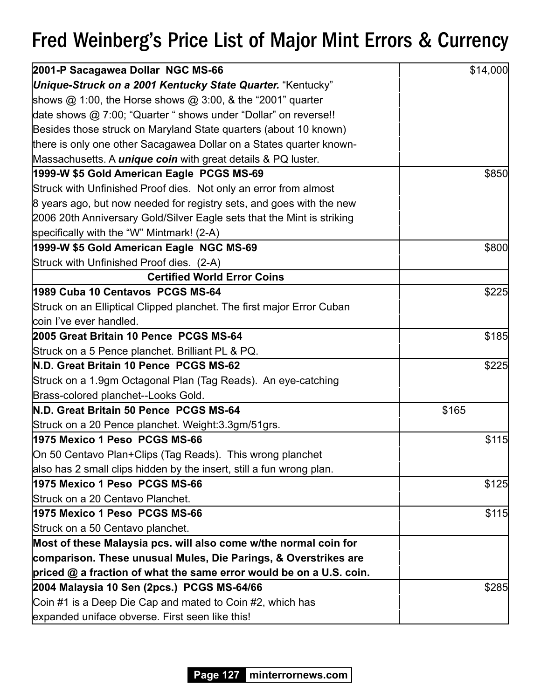| 2001-P Sacagawea Dollar NGC MS-66                                      | \$14,000 |
|------------------------------------------------------------------------|----------|
| Unique-Struck on a 2001 Kentucky State Quarter. "Kentucky"             |          |
| shows $@$ 1:00, the Horse shows $@$ 3:00, & the "2001" quarter         |          |
| date shows @ 7:00; "Quarter " shows under "Dollar" on reverse!!        |          |
| Besides those struck on Maryland State quarters (about 10 known)       |          |
| there is only one other Sacagawea Dollar on a States quarter known-    |          |
| Massachusetts. A <i>unique coin</i> with great details & PQ luster.    |          |
| 1999-W \$5 Gold American Eagle PCGS MS-69                              | \$850    |
| Struck with Unfinished Proof dies. Not only an error from almost       |          |
| 8 years ago, but now needed for registry sets, and goes with the new   |          |
| 2006 20th Anniversary Gold/Silver Eagle sets that the Mint is striking |          |
| specifically with the "W" Mintmark! (2-A)                              |          |
| 1999-W \$5 Gold American Eagle NGC MS-69                               | \$800    |
| Struck with Unfinished Proof dies. (2-A)                               |          |
| <b>Certified World Error Coins</b>                                     |          |
| 1989 Cuba 10 Centavos PCGS MS-64                                       | \$225    |
| Struck on an Elliptical Clipped planchet. The first major Error Cuban  |          |
| coin I've ever handled.                                                |          |
| 2005 Great Britain 10 Pence PCGS MS-64                                 | \$185    |
| Struck on a 5 Pence planchet. Brilliant PL & PQ.                       |          |
| N.D. Great Britain 10 Pence PCGS MS-62                                 | \$225    |
| Struck on a 1.9gm Octagonal Plan (Tag Reads). An eye-catching          |          |
| Brass-colored planchet--Looks Gold.                                    |          |
| N.D. Great Britain 50 Pence PCGS MS-64                                 | \$165    |
| Struck on a 20 Pence planchet. Weight: 3.3gm/51grs.                    |          |
| 1975 Mexico 1 Peso PCGS MS-66                                          | \$115    |
| On 50 Centavo Plan+Clips (Tag Reads). This wrong planchet              |          |
| also has 2 small clips hidden by the insert, still a fun wrong plan.   |          |
| 1975 Mexico 1 Peso PCGS MS-66                                          | \$125    |
| Struck on a 20 Centavo Planchet.                                       |          |
| 1975 Mexico 1 Peso PCGS MS-66                                          | \$115    |
| Struck on a 50 Centavo planchet.                                       |          |
| Most of these Malaysia pcs. will also come w/the normal coin for       |          |
| comparison. These unusual Mules, Die Parings, & Overstrikes are        |          |
| priced $@$ a fraction of what the same error would be on a U.S. coin.  |          |
| 2004 Malaysia 10 Sen (2pcs.) PCGS MS-64/66                             | \$285    |
| Coin #1 is a Deep Die Cap and mated to Coin #2, which has              |          |
| expanded uniface obverse. First seen like this!                        |          |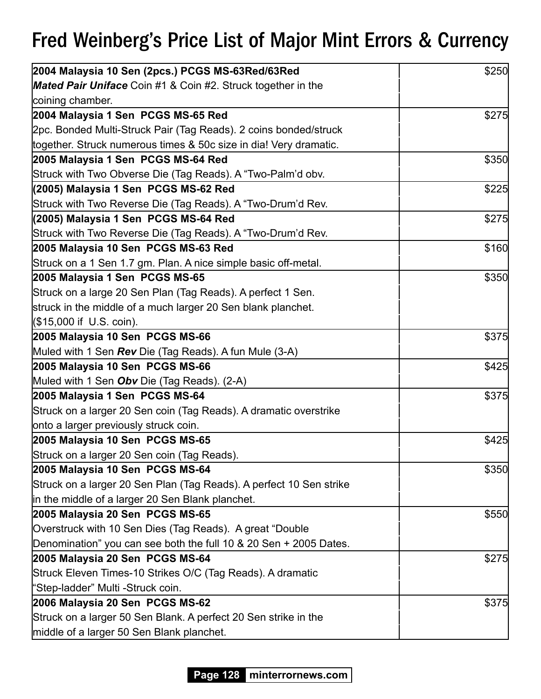| 2004 Malaysia 10 Sen (2pcs.) PCGS MS-63Red/63Red                    | \$250 |
|---------------------------------------------------------------------|-------|
| <b>Mated Pair Uniface</b> Coin #1 & Coin #2. Struck together in the |       |
| coining chamber.                                                    |       |
| 2004 Malaysia 1 Sen PCGS MS-65 Red                                  | \$275 |
| 2pc. Bonded Multi-Struck Pair (Tag Reads). 2 coins bonded/struck    |       |
| together. Struck numerous times & 50c size in dia! Very dramatic.   |       |
| 2005 Malaysia 1 Sen PCGS MS-64 Red                                  | \$350 |
| Struck with Two Obverse Die (Tag Reads). A "Two-Palm'd obv.         |       |
| (2005) Malaysia 1 Sen PCGS MS-62 Red                                | \$225 |
| Struck with Two Reverse Die (Tag Reads). A "Two-Drum'd Rev.         |       |
| (2005) Malaysia 1 Sen PCGS MS-64 Red                                | \$275 |
| Struck with Two Reverse Die (Tag Reads). A "Two-Drum'd Rev.         |       |
| 2005 Malaysia 10 Sen PCGS MS-63 Red                                 | \$160 |
| Struck on a 1 Sen 1.7 gm. Plan. A nice simple basic off-metal.      |       |
| 2005 Malaysia 1 Sen PCGS MS-65                                      | \$350 |
| Struck on a large 20 Sen Plan (Tag Reads). A perfect 1 Sen.         |       |
| struck in the middle of a much larger 20 Sen blank planchet.        |       |
| (\$15,000 if U.S. coin).                                            |       |
| 2005 Malaysia 10 Sen PCGS MS-66                                     | \$375 |
| Muled with 1 Sen Rev Die (Tag Reads). A fun Mule (3-A)              |       |
| 2005 Malaysia 10 Sen PCGS MS-66                                     | \$425 |
| Muled with 1 Sen <b>Obv</b> Die (Tag Reads). (2-A)                  |       |
| 2005 Malaysia 1 Sen PCGS MS-64                                      | \$375 |
| Struck on a larger 20 Sen coin (Tag Reads). A dramatic overstrike   |       |
| onto a larger previously struck coin.                               |       |
| 2005 Malaysia 10 Sen PCGS MS-65                                     | \$425 |
| Struck on a larger 20 Sen coin (Tag Reads).                         |       |
| 2005 Malaysia 10 Sen PCGS MS-64                                     | \$350 |
| Struck on a larger 20 Sen Plan (Tag Reads). A perfect 10 Sen strike |       |
| in the middle of a larger 20 Sen Blank planchet.                    |       |
| 2005 Malaysia 20 Sen PCGS MS-65                                     | \$550 |
| Overstruck with 10 Sen Dies (Tag Reads). A great "Double            |       |
| Denomination" you can see both the full 10 & 20 Sen + 2005 Dates.   |       |
| 2005 Malaysia 20 Sen PCGS MS-64                                     | \$275 |
| Struck Eleven Times-10 Strikes O/C (Tag Reads). A dramatic          |       |
| "Step-ladder" Multi -Struck coin.                                   |       |
| 2006 Malaysia 20 Sen PCGS MS-62                                     | \$375 |
| Struck on a larger 50 Sen Blank. A perfect 20 Sen strike in the     |       |
| middle of a larger 50 Sen Blank planchet.                           |       |